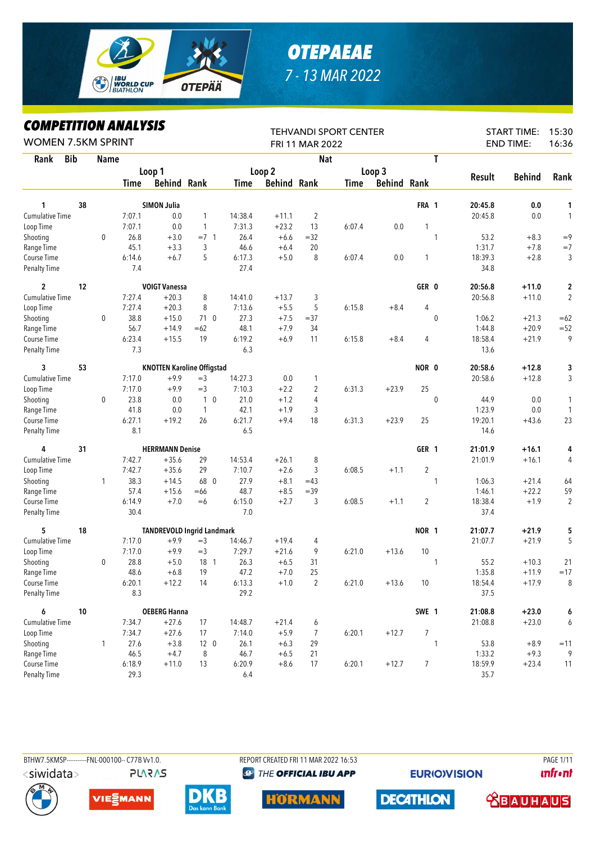

## *OTEPAEAE 7 - 13 MAR 2022*

*COMPETITION ANALYSIS*

| T<br><b>Bib</b><br><b>Nat</b><br>Rank<br><b>Name</b><br>Loop 1<br>Loop 2<br>Loop 3<br><b>Behind</b><br>Rank<br><b>Result</b><br><b>Behind Rank</b><br><b>Behind Rank</b><br><b>Behind Rank</b><br>Time<br>Time<br>Time<br>38<br><b>SIMON Julia</b><br>FRA 1<br>0.0<br>20:45.8<br>1<br>1<br><b>Cumulative Time</b><br>7:07.1<br>14:38.4<br>$\overline{2}$<br>20:45.8<br>0.0<br>$\mathbf{1}$<br>0.0<br>$+11.1$<br>1<br>7:07.1<br>0.0<br>7:31.3<br>$+23.2$<br>13<br>6:07.4<br>0.0<br>1<br>1<br>Loop Time<br>$\mathbf 0$<br>26.8<br>$+3.0$<br>$=32$<br>53.2<br>$+8.3$<br>$=9$<br>Shooting<br>$=7$ 1<br>26.4<br>$+6.6$<br>$\mathbf{1}$<br>45.1<br>3<br>20<br>1:31.7<br>$=7$<br>Range Time<br>$+3.3$<br>46.6<br>$+7.8$<br>$+6.4$<br>6:14.6<br>5<br>6:17.3<br>$+5.0$<br>8<br>6:07.4<br>18:39.3<br>$+2.8$<br>3<br>Course Time<br>$+6.7$<br>0.0<br>1<br>7.4<br>27.4<br>34.8<br><b>Penalty Time</b><br>2<br>12<br><b>VOIGT Vanessa</b><br>GER 0<br>20:56.8<br>$+11.0$<br>2<br>7:27.4<br>$+20.3$<br>8<br>14:41.0<br>$+13.7$<br>3<br>20:56.8<br>$\overline{2}$<br><b>Cumulative Time</b><br>$+11.0$<br>7:27.4<br>$+20.3$<br>8<br>7:13.6<br>$+5.5$<br>5<br>$+8.4$<br>4<br>Loop Time<br>6:15.8<br>38.8<br>$+15.0$<br>710<br>27.3<br>$+7.5$<br>$= 37$<br>$\mathbf 0$<br>$+21.3$<br>$=62$<br>Shooting<br>0<br>1:06.2<br>56.7<br>48.1<br>$+7.9$<br>34<br>$+20.9$<br>$= 52$<br>Range Time<br>$+14.9$<br>$=62$<br>1:44.8<br>9<br>6:23.4<br>$+15.5$<br>19<br>6:19.2<br>$+6.9$<br>6:15.8<br>18:58.4<br>$+21.9$<br>Course Time<br>11<br>$+8.4$<br>4<br>7.3<br>6.3<br><b>Penalty Time</b><br>13.6<br>3<br>53<br><b>KNOTTEN Karoline Offigstad</b><br>NOR 0<br>20:58.6<br>$+12.8$<br>3<br>$+12.8$<br>Cumulative Time<br>7:17.0<br>$+9.9$<br>$=$ 3<br>14:27.3<br>0.0<br>20:58.6<br>1<br>25<br>7:17.0<br>$+9.9$<br>$=$ 3<br>7:10.3<br>$+2.2$<br>2<br>6:31.3<br>$+23.9$<br>Loop Time<br>0<br>23.8<br>0.0<br>$1\quad0$<br>21.0<br>$\mathbf 0$<br>0.0<br>Shooting<br>$+1.2$<br>4<br>44.9<br>41.8<br>0.0<br>42.1<br>$+1.9$<br>1:23.9<br>0.0<br>Range Time<br>$\mathbf{1}$<br>3<br>$\mathbf{1}$<br>6:27.1<br>$+19.2$<br>26<br>6:21.7<br>$+9.4$<br>18<br>$+23.9$<br>25<br>19:20.1<br>$+43.6$<br>23<br>Course Time<br>6:31.3<br>8.1<br>6.5<br><b>Penalty Time</b><br>14.6<br>31<br><b>HERRMANN Denise</b><br>GER 1<br>4<br>21:01.9<br>$+16.1$<br>4<br>29<br><b>Cumulative Time</b><br>7:42.7<br>$+35.6$<br>14:53.4<br>$+26.1$<br>8<br>21:01.9<br>$+16.1$<br>4<br>$\overline{2}$<br>7:42.7<br>$+35.6$<br>29<br>7:10.7<br>$+2.6$<br>3<br>Loop Time<br>6:08.5<br>$+1.1$<br>38.3<br>68 0<br>27.9<br>$+14.5$<br>$+8.1$<br>$=43$<br>1:06.3<br>$+21.4$<br>64<br>Shooting<br>1<br>1<br>57.4<br>$+15.6$<br>48.7<br>$+8.5$<br>1:46.1<br>$+22.2$<br>59<br>$=66$<br>$=39$<br>Range Time<br>6:14.9<br>$+7.0$<br>6:15.0<br>$+2.7$<br>3<br>6:08.5<br>2<br>18:38.4<br>$+1.9$<br>$\overline{2}$<br>Course Time<br>$=6$<br>$+1.1$<br>30.4<br>7.0<br>37.4<br><b>Penalty Time</b><br>5<br>NOR 1<br>$+21.9$<br>5<br>18<br><b>TANDREVOLD Ingrid Landmark</b><br>21:07.7<br>5<br><b>Cumulative Time</b><br>$+21.9$<br>7:17.0<br>$+9.9$<br>$=$ 3<br>$+19.4$<br>21:07.7<br>14:46.7<br>4<br>7:17.0<br>$=$ 3<br>7:29.7<br>9<br>10<br>Loop Time<br>$+9.9$<br>$+21.6$<br>6:21.0<br>$+13.6$<br>28.8<br>$+5.0$<br>18 1<br>26.3<br>31<br>55.2<br>$+10.3$<br>Shooting<br>0<br>$+6.5$<br>21<br>1<br>19<br>47.2<br>1:35.8<br>48.6<br>$+6.8$<br>$+7.0$<br>25<br>$+11.9$<br>Range Time<br>$\overline{c}$<br>6:20.1<br>$+12.2$<br>14<br>6:13.3<br>6:21.0<br>$+13.6$<br>10<br>18:54.4<br>$+17.9$<br>8<br>Course Time<br>$+1.0$<br><b>Penalty Time</b><br>8.3<br>29.2<br>37.5<br>6<br>SWE 1<br>10<br><b>OEBERG Hanna</b><br>21:08.8<br>$+23.0$<br>6<br>$+23.0$<br><b>Cumulative Time</b><br>7:34.7<br>$+27.6$<br>17<br>14:48.7<br>$+21.4$<br>21:08.8<br>6<br>6<br>$\overline{7}$<br>Loop Time<br>7:34.7<br>$+27.6$<br>17<br>7:14.0<br>$+5.9$<br>7<br>6:20.1<br>$+12.7$<br>27.6<br>Shooting<br>$+3.8$<br>12 <sub>0</sub><br>26.1<br>$+6.3$<br>1<br>53.8<br>$+8.9$<br>1<br>29<br>$=11$<br>46.7<br>$+9.3$<br>9<br>Range Time<br>46.5<br>$+4.7$<br>8<br>$+6.5$<br>21<br>1:33.2<br>Course Time<br>6:18.9<br>$+11.0$<br>6:20.9<br>$+8.6$<br>6:20.1<br>$+12.7$<br>$\overline{7}$<br>18:59.9<br>$+23.4$<br>13<br>17<br>29.3<br>35.7<br>Penalty Time<br>6.4 | LVMITEIIIIVN ANALIƏIƏ<br><b>WOMEN 7.5KM SPRINT</b> |  |  |  | FRI 11 MAR 2022 | <b>TEHVANDI SPORT CENTER</b> |  | <b>START TIME:</b><br><b>END TIME:</b> | 15:30<br>16:36 |
|---------------------------------------------------------------------------------------------------------------------------------------------------------------------------------------------------------------------------------------------------------------------------------------------------------------------------------------------------------------------------------------------------------------------------------------------------------------------------------------------------------------------------------------------------------------------------------------------------------------------------------------------------------------------------------------------------------------------------------------------------------------------------------------------------------------------------------------------------------------------------------------------------------------------------------------------------------------------------------------------------------------------------------------------------------------------------------------------------------------------------------------------------------------------------------------------------------------------------------------------------------------------------------------------------------------------------------------------------------------------------------------------------------------------------------------------------------------------------------------------------------------------------------------------------------------------------------------------------------------------------------------------------------------------------------------------------------------------------------------------------------------------------------------------------------------------------------------------------------------------------------------------------------------------------------------------------------------------------------------------------------------------------------------------------------------------------------------------------------------------------------------------------------------------------------------------------------------------------------------------------------------------------------------------------------------------------------------------------------------------------------------------------------------------------------------------------------------------------------------------------------------------------------------------------------------------------------------------------------------------------------------------------------------------------------------------------------------------------------------------------------------------------------------------------------------------------------------------------------------------------------------------------------------------------------------------------------------------------------------------------------------------------------------------------------------------------------------------------------------------------------------------------------------------------------------------------------------------------------------------------------------------------------------------------------------------------------------------------------------------------------------------------------------------------------------------------------------------------------------------------------------------------------------------------------------------------------------------------------------------------------------------------------------------------------------------------------------------------------------------------------------------------------------------------------------------------------------------------------------------------------------------------------------------------------------------------------------------------------------------------------------------------------------------------------------------------------------------------------------------------------------------------------------------------------------------------------------------------------------------------------------------------|----------------------------------------------------|--|--|--|-----------------|------------------------------|--|----------------------------------------|----------------|
|                                                                                                                                                                                                                                                                                                                                                                                                                                                                                                                                                                                                                                                                                                                                                                                                                                                                                                                                                                                                                                                                                                                                                                                                                                                                                                                                                                                                                                                                                                                                                                                                                                                                                                                                                                                                                                                                                                                                                                                                                                                                                                                                                                                                                                                                                                                                                                                                                                                                                                                                                                                                                                                                                                                                                                                                                                                                                                                                                                                                                                                                                                                                                                                                                                                                                                                                                                                                                                                                                                                                                                                                                                                                                                                                                                                                                                                                                                                                                                                                                                                                                                                                                                                                                                                                           |                                                    |  |  |  |                 |                              |  |                                        |                |
|                                                                                                                                                                                                                                                                                                                                                                                                                                                                                                                                                                                                                                                                                                                                                                                                                                                                                                                                                                                                                                                                                                                                                                                                                                                                                                                                                                                                                                                                                                                                                                                                                                                                                                                                                                                                                                                                                                                                                                                                                                                                                                                                                                                                                                                                                                                                                                                                                                                                                                                                                                                                                                                                                                                                                                                                                                                                                                                                                                                                                                                                                                                                                                                                                                                                                                                                                                                                                                                                                                                                                                                                                                                                                                                                                                                                                                                                                                                                                                                                                                                                                                                                                                                                                                                                           |                                                    |  |  |  |                 |                              |  |                                        |                |
| 3<br>1<br>$=17$<br>11                                                                                                                                                                                                                                                                                                                                                                                                                                                                                                                                                                                                                                                                                                                                                                                                                                                                                                                                                                                                                                                                                                                                                                                                                                                                                                                                                                                                                                                                                                                                                                                                                                                                                                                                                                                                                                                                                                                                                                                                                                                                                                                                                                                                                                                                                                                                                                                                                                                                                                                                                                                                                                                                                                                                                                                                                                                                                                                                                                                                                                                                                                                                                                                                                                                                                                                                                                                                                                                                                                                                                                                                                                                                                                                                                                                                                                                                                                                                                                                                                                                                                                                                                                                                                                                     |                                                    |  |  |  |                 |                              |  |                                        |                |
|                                                                                                                                                                                                                                                                                                                                                                                                                                                                                                                                                                                                                                                                                                                                                                                                                                                                                                                                                                                                                                                                                                                                                                                                                                                                                                                                                                                                                                                                                                                                                                                                                                                                                                                                                                                                                                                                                                                                                                                                                                                                                                                                                                                                                                                                                                                                                                                                                                                                                                                                                                                                                                                                                                                                                                                                                                                                                                                                                                                                                                                                                                                                                                                                                                                                                                                                                                                                                                                                                                                                                                                                                                                                                                                                                                                                                                                                                                                                                                                                                                                                                                                                                                                                                                                                           |                                                    |  |  |  |                 |                              |  |                                        |                |
|                                                                                                                                                                                                                                                                                                                                                                                                                                                                                                                                                                                                                                                                                                                                                                                                                                                                                                                                                                                                                                                                                                                                                                                                                                                                                                                                                                                                                                                                                                                                                                                                                                                                                                                                                                                                                                                                                                                                                                                                                                                                                                                                                                                                                                                                                                                                                                                                                                                                                                                                                                                                                                                                                                                                                                                                                                                                                                                                                                                                                                                                                                                                                                                                                                                                                                                                                                                                                                                                                                                                                                                                                                                                                                                                                                                                                                                                                                                                                                                                                                                                                                                                                                                                                                                                           |                                                    |  |  |  |                 |                              |  |                                        |                |
|                                                                                                                                                                                                                                                                                                                                                                                                                                                                                                                                                                                                                                                                                                                                                                                                                                                                                                                                                                                                                                                                                                                                                                                                                                                                                                                                                                                                                                                                                                                                                                                                                                                                                                                                                                                                                                                                                                                                                                                                                                                                                                                                                                                                                                                                                                                                                                                                                                                                                                                                                                                                                                                                                                                                                                                                                                                                                                                                                                                                                                                                                                                                                                                                                                                                                                                                                                                                                                                                                                                                                                                                                                                                                                                                                                                                                                                                                                                                                                                                                                                                                                                                                                                                                                                                           |                                                    |  |  |  |                 |                              |  |                                        |                |
|                                                                                                                                                                                                                                                                                                                                                                                                                                                                                                                                                                                                                                                                                                                                                                                                                                                                                                                                                                                                                                                                                                                                                                                                                                                                                                                                                                                                                                                                                                                                                                                                                                                                                                                                                                                                                                                                                                                                                                                                                                                                                                                                                                                                                                                                                                                                                                                                                                                                                                                                                                                                                                                                                                                                                                                                                                                                                                                                                                                                                                                                                                                                                                                                                                                                                                                                                                                                                                                                                                                                                                                                                                                                                                                                                                                                                                                                                                                                                                                                                                                                                                                                                                                                                                                                           |                                                    |  |  |  |                 |                              |  |                                        |                |
|                                                                                                                                                                                                                                                                                                                                                                                                                                                                                                                                                                                                                                                                                                                                                                                                                                                                                                                                                                                                                                                                                                                                                                                                                                                                                                                                                                                                                                                                                                                                                                                                                                                                                                                                                                                                                                                                                                                                                                                                                                                                                                                                                                                                                                                                                                                                                                                                                                                                                                                                                                                                                                                                                                                                                                                                                                                                                                                                                                                                                                                                                                                                                                                                                                                                                                                                                                                                                                                                                                                                                                                                                                                                                                                                                                                                                                                                                                                                                                                                                                                                                                                                                                                                                                                                           |                                                    |  |  |  |                 |                              |  |                                        |                |
|                                                                                                                                                                                                                                                                                                                                                                                                                                                                                                                                                                                                                                                                                                                                                                                                                                                                                                                                                                                                                                                                                                                                                                                                                                                                                                                                                                                                                                                                                                                                                                                                                                                                                                                                                                                                                                                                                                                                                                                                                                                                                                                                                                                                                                                                                                                                                                                                                                                                                                                                                                                                                                                                                                                                                                                                                                                                                                                                                                                                                                                                                                                                                                                                                                                                                                                                                                                                                                                                                                                                                                                                                                                                                                                                                                                                                                                                                                                                                                                                                                                                                                                                                                                                                                                                           |                                                    |  |  |  |                 |                              |  |                                        |                |
|                                                                                                                                                                                                                                                                                                                                                                                                                                                                                                                                                                                                                                                                                                                                                                                                                                                                                                                                                                                                                                                                                                                                                                                                                                                                                                                                                                                                                                                                                                                                                                                                                                                                                                                                                                                                                                                                                                                                                                                                                                                                                                                                                                                                                                                                                                                                                                                                                                                                                                                                                                                                                                                                                                                                                                                                                                                                                                                                                                                                                                                                                                                                                                                                                                                                                                                                                                                                                                                                                                                                                                                                                                                                                                                                                                                                                                                                                                                                                                                                                                                                                                                                                                                                                                                                           |                                                    |  |  |  |                 |                              |  |                                        |                |
|                                                                                                                                                                                                                                                                                                                                                                                                                                                                                                                                                                                                                                                                                                                                                                                                                                                                                                                                                                                                                                                                                                                                                                                                                                                                                                                                                                                                                                                                                                                                                                                                                                                                                                                                                                                                                                                                                                                                                                                                                                                                                                                                                                                                                                                                                                                                                                                                                                                                                                                                                                                                                                                                                                                                                                                                                                                                                                                                                                                                                                                                                                                                                                                                                                                                                                                                                                                                                                                                                                                                                                                                                                                                                                                                                                                                                                                                                                                                                                                                                                                                                                                                                                                                                                                                           |                                                    |  |  |  |                 |                              |  |                                        |                |
|                                                                                                                                                                                                                                                                                                                                                                                                                                                                                                                                                                                                                                                                                                                                                                                                                                                                                                                                                                                                                                                                                                                                                                                                                                                                                                                                                                                                                                                                                                                                                                                                                                                                                                                                                                                                                                                                                                                                                                                                                                                                                                                                                                                                                                                                                                                                                                                                                                                                                                                                                                                                                                                                                                                                                                                                                                                                                                                                                                                                                                                                                                                                                                                                                                                                                                                                                                                                                                                                                                                                                                                                                                                                                                                                                                                                                                                                                                                                                                                                                                                                                                                                                                                                                                                                           |                                                    |  |  |  |                 |                              |  |                                        |                |
|                                                                                                                                                                                                                                                                                                                                                                                                                                                                                                                                                                                                                                                                                                                                                                                                                                                                                                                                                                                                                                                                                                                                                                                                                                                                                                                                                                                                                                                                                                                                                                                                                                                                                                                                                                                                                                                                                                                                                                                                                                                                                                                                                                                                                                                                                                                                                                                                                                                                                                                                                                                                                                                                                                                                                                                                                                                                                                                                                                                                                                                                                                                                                                                                                                                                                                                                                                                                                                                                                                                                                                                                                                                                                                                                                                                                                                                                                                                                                                                                                                                                                                                                                                                                                                                                           |                                                    |  |  |  |                 |                              |  |                                        |                |
|                                                                                                                                                                                                                                                                                                                                                                                                                                                                                                                                                                                                                                                                                                                                                                                                                                                                                                                                                                                                                                                                                                                                                                                                                                                                                                                                                                                                                                                                                                                                                                                                                                                                                                                                                                                                                                                                                                                                                                                                                                                                                                                                                                                                                                                                                                                                                                                                                                                                                                                                                                                                                                                                                                                                                                                                                                                                                                                                                                                                                                                                                                                                                                                                                                                                                                                                                                                                                                                                                                                                                                                                                                                                                                                                                                                                                                                                                                                                                                                                                                                                                                                                                                                                                                                                           |                                                    |  |  |  |                 |                              |  |                                        |                |
|                                                                                                                                                                                                                                                                                                                                                                                                                                                                                                                                                                                                                                                                                                                                                                                                                                                                                                                                                                                                                                                                                                                                                                                                                                                                                                                                                                                                                                                                                                                                                                                                                                                                                                                                                                                                                                                                                                                                                                                                                                                                                                                                                                                                                                                                                                                                                                                                                                                                                                                                                                                                                                                                                                                                                                                                                                                                                                                                                                                                                                                                                                                                                                                                                                                                                                                                                                                                                                                                                                                                                                                                                                                                                                                                                                                                                                                                                                                                                                                                                                                                                                                                                                                                                                                                           |                                                    |  |  |  |                 |                              |  |                                        |                |
|                                                                                                                                                                                                                                                                                                                                                                                                                                                                                                                                                                                                                                                                                                                                                                                                                                                                                                                                                                                                                                                                                                                                                                                                                                                                                                                                                                                                                                                                                                                                                                                                                                                                                                                                                                                                                                                                                                                                                                                                                                                                                                                                                                                                                                                                                                                                                                                                                                                                                                                                                                                                                                                                                                                                                                                                                                                                                                                                                                                                                                                                                                                                                                                                                                                                                                                                                                                                                                                                                                                                                                                                                                                                                                                                                                                                                                                                                                                                                                                                                                                                                                                                                                                                                                                                           |                                                    |  |  |  |                 |                              |  |                                        |                |
|                                                                                                                                                                                                                                                                                                                                                                                                                                                                                                                                                                                                                                                                                                                                                                                                                                                                                                                                                                                                                                                                                                                                                                                                                                                                                                                                                                                                                                                                                                                                                                                                                                                                                                                                                                                                                                                                                                                                                                                                                                                                                                                                                                                                                                                                                                                                                                                                                                                                                                                                                                                                                                                                                                                                                                                                                                                                                                                                                                                                                                                                                                                                                                                                                                                                                                                                                                                                                                                                                                                                                                                                                                                                                                                                                                                                                                                                                                                                                                                                                                                                                                                                                                                                                                                                           |                                                    |  |  |  |                 |                              |  |                                        |                |
|                                                                                                                                                                                                                                                                                                                                                                                                                                                                                                                                                                                                                                                                                                                                                                                                                                                                                                                                                                                                                                                                                                                                                                                                                                                                                                                                                                                                                                                                                                                                                                                                                                                                                                                                                                                                                                                                                                                                                                                                                                                                                                                                                                                                                                                                                                                                                                                                                                                                                                                                                                                                                                                                                                                                                                                                                                                                                                                                                                                                                                                                                                                                                                                                                                                                                                                                                                                                                                                                                                                                                                                                                                                                                                                                                                                                                                                                                                                                                                                                                                                                                                                                                                                                                                                                           |                                                    |  |  |  |                 |                              |  |                                        |                |
|                                                                                                                                                                                                                                                                                                                                                                                                                                                                                                                                                                                                                                                                                                                                                                                                                                                                                                                                                                                                                                                                                                                                                                                                                                                                                                                                                                                                                                                                                                                                                                                                                                                                                                                                                                                                                                                                                                                                                                                                                                                                                                                                                                                                                                                                                                                                                                                                                                                                                                                                                                                                                                                                                                                                                                                                                                                                                                                                                                                                                                                                                                                                                                                                                                                                                                                                                                                                                                                                                                                                                                                                                                                                                                                                                                                                                                                                                                                                                                                                                                                                                                                                                                                                                                                                           |                                                    |  |  |  |                 |                              |  |                                        |                |
|                                                                                                                                                                                                                                                                                                                                                                                                                                                                                                                                                                                                                                                                                                                                                                                                                                                                                                                                                                                                                                                                                                                                                                                                                                                                                                                                                                                                                                                                                                                                                                                                                                                                                                                                                                                                                                                                                                                                                                                                                                                                                                                                                                                                                                                                                                                                                                                                                                                                                                                                                                                                                                                                                                                                                                                                                                                                                                                                                                                                                                                                                                                                                                                                                                                                                                                                                                                                                                                                                                                                                                                                                                                                                                                                                                                                                                                                                                                                                                                                                                                                                                                                                                                                                                                                           |                                                    |  |  |  |                 |                              |  |                                        |                |
|                                                                                                                                                                                                                                                                                                                                                                                                                                                                                                                                                                                                                                                                                                                                                                                                                                                                                                                                                                                                                                                                                                                                                                                                                                                                                                                                                                                                                                                                                                                                                                                                                                                                                                                                                                                                                                                                                                                                                                                                                                                                                                                                                                                                                                                                                                                                                                                                                                                                                                                                                                                                                                                                                                                                                                                                                                                                                                                                                                                                                                                                                                                                                                                                                                                                                                                                                                                                                                                                                                                                                                                                                                                                                                                                                                                                                                                                                                                                                                                                                                                                                                                                                                                                                                                                           |                                                    |  |  |  |                 |                              |  |                                        |                |
|                                                                                                                                                                                                                                                                                                                                                                                                                                                                                                                                                                                                                                                                                                                                                                                                                                                                                                                                                                                                                                                                                                                                                                                                                                                                                                                                                                                                                                                                                                                                                                                                                                                                                                                                                                                                                                                                                                                                                                                                                                                                                                                                                                                                                                                                                                                                                                                                                                                                                                                                                                                                                                                                                                                                                                                                                                                                                                                                                                                                                                                                                                                                                                                                                                                                                                                                                                                                                                                                                                                                                                                                                                                                                                                                                                                                                                                                                                                                                                                                                                                                                                                                                                                                                                                                           |                                                    |  |  |  |                 |                              |  |                                        |                |
|                                                                                                                                                                                                                                                                                                                                                                                                                                                                                                                                                                                                                                                                                                                                                                                                                                                                                                                                                                                                                                                                                                                                                                                                                                                                                                                                                                                                                                                                                                                                                                                                                                                                                                                                                                                                                                                                                                                                                                                                                                                                                                                                                                                                                                                                                                                                                                                                                                                                                                                                                                                                                                                                                                                                                                                                                                                                                                                                                                                                                                                                                                                                                                                                                                                                                                                                                                                                                                                                                                                                                                                                                                                                                                                                                                                                                                                                                                                                                                                                                                                                                                                                                                                                                                                                           |                                                    |  |  |  |                 |                              |  |                                        |                |
|                                                                                                                                                                                                                                                                                                                                                                                                                                                                                                                                                                                                                                                                                                                                                                                                                                                                                                                                                                                                                                                                                                                                                                                                                                                                                                                                                                                                                                                                                                                                                                                                                                                                                                                                                                                                                                                                                                                                                                                                                                                                                                                                                                                                                                                                                                                                                                                                                                                                                                                                                                                                                                                                                                                                                                                                                                                                                                                                                                                                                                                                                                                                                                                                                                                                                                                                                                                                                                                                                                                                                                                                                                                                                                                                                                                                                                                                                                                                                                                                                                                                                                                                                                                                                                                                           |                                                    |  |  |  |                 |                              |  |                                        |                |
|                                                                                                                                                                                                                                                                                                                                                                                                                                                                                                                                                                                                                                                                                                                                                                                                                                                                                                                                                                                                                                                                                                                                                                                                                                                                                                                                                                                                                                                                                                                                                                                                                                                                                                                                                                                                                                                                                                                                                                                                                                                                                                                                                                                                                                                                                                                                                                                                                                                                                                                                                                                                                                                                                                                                                                                                                                                                                                                                                                                                                                                                                                                                                                                                                                                                                                                                                                                                                                                                                                                                                                                                                                                                                                                                                                                                                                                                                                                                                                                                                                                                                                                                                                                                                                                                           |                                                    |  |  |  |                 |                              |  |                                        |                |
|                                                                                                                                                                                                                                                                                                                                                                                                                                                                                                                                                                                                                                                                                                                                                                                                                                                                                                                                                                                                                                                                                                                                                                                                                                                                                                                                                                                                                                                                                                                                                                                                                                                                                                                                                                                                                                                                                                                                                                                                                                                                                                                                                                                                                                                                                                                                                                                                                                                                                                                                                                                                                                                                                                                                                                                                                                                                                                                                                                                                                                                                                                                                                                                                                                                                                                                                                                                                                                                                                                                                                                                                                                                                                                                                                                                                                                                                                                                                                                                                                                                                                                                                                                                                                                                                           |                                                    |  |  |  |                 |                              |  |                                        |                |
|                                                                                                                                                                                                                                                                                                                                                                                                                                                                                                                                                                                                                                                                                                                                                                                                                                                                                                                                                                                                                                                                                                                                                                                                                                                                                                                                                                                                                                                                                                                                                                                                                                                                                                                                                                                                                                                                                                                                                                                                                                                                                                                                                                                                                                                                                                                                                                                                                                                                                                                                                                                                                                                                                                                                                                                                                                                                                                                                                                                                                                                                                                                                                                                                                                                                                                                                                                                                                                                                                                                                                                                                                                                                                                                                                                                                                                                                                                                                                                                                                                                                                                                                                                                                                                                                           |                                                    |  |  |  |                 |                              |  |                                        |                |
|                                                                                                                                                                                                                                                                                                                                                                                                                                                                                                                                                                                                                                                                                                                                                                                                                                                                                                                                                                                                                                                                                                                                                                                                                                                                                                                                                                                                                                                                                                                                                                                                                                                                                                                                                                                                                                                                                                                                                                                                                                                                                                                                                                                                                                                                                                                                                                                                                                                                                                                                                                                                                                                                                                                                                                                                                                                                                                                                                                                                                                                                                                                                                                                                                                                                                                                                                                                                                                                                                                                                                                                                                                                                                                                                                                                                                                                                                                                                                                                                                                                                                                                                                                                                                                                                           |                                                    |  |  |  |                 |                              |  |                                        |                |
|                                                                                                                                                                                                                                                                                                                                                                                                                                                                                                                                                                                                                                                                                                                                                                                                                                                                                                                                                                                                                                                                                                                                                                                                                                                                                                                                                                                                                                                                                                                                                                                                                                                                                                                                                                                                                                                                                                                                                                                                                                                                                                                                                                                                                                                                                                                                                                                                                                                                                                                                                                                                                                                                                                                                                                                                                                                                                                                                                                                                                                                                                                                                                                                                                                                                                                                                                                                                                                                                                                                                                                                                                                                                                                                                                                                                                                                                                                                                                                                                                                                                                                                                                                                                                                                                           |                                                    |  |  |  |                 |                              |  |                                        |                |
|                                                                                                                                                                                                                                                                                                                                                                                                                                                                                                                                                                                                                                                                                                                                                                                                                                                                                                                                                                                                                                                                                                                                                                                                                                                                                                                                                                                                                                                                                                                                                                                                                                                                                                                                                                                                                                                                                                                                                                                                                                                                                                                                                                                                                                                                                                                                                                                                                                                                                                                                                                                                                                                                                                                                                                                                                                                                                                                                                                                                                                                                                                                                                                                                                                                                                                                                                                                                                                                                                                                                                                                                                                                                                                                                                                                                                                                                                                                                                                                                                                                                                                                                                                                                                                                                           |                                                    |  |  |  |                 |                              |  |                                        |                |
|                                                                                                                                                                                                                                                                                                                                                                                                                                                                                                                                                                                                                                                                                                                                                                                                                                                                                                                                                                                                                                                                                                                                                                                                                                                                                                                                                                                                                                                                                                                                                                                                                                                                                                                                                                                                                                                                                                                                                                                                                                                                                                                                                                                                                                                                                                                                                                                                                                                                                                                                                                                                                                                                                                                                                                                                                                                                                                                                                                                                                                                                                                                                                                                                                                                                                                                                                                                                                                                                                                                                                                                                                                                                                                                                                                                                                                                                                                                                                                                                                                                                                                                                                                                                                                                                           |                                                    |  |  |  |                 |                              |  |                                        |                |
|                                                                                                                                                                                                                                                                                                                                                                                                                                                                                                                                                                                                                                                                                                                                                                                                                                                                                                                                                                                                                                                                                                                                                                                                                                                                                                                                                                                                                                                                                                                                                                                                                                                                                                                                                                                                                                                                                                                                                                                                                                                                                                                                                                                                                                                                                                                                                                                                                                                                                                                                                                                                                                                                                                                                                                                                                                                                                                                                                                                                                                                                                                                                                                                                                                                                                                                                                                                                                                                                                                                                                                                                                                                                                                                                                                                                                                                                                                                                                                                                                                                                                                                                                                                                                                                                           |                                                    |  |  |  |                 |                              |  |                                        |                |
|                                                                                                                                                                                                                                                                                                                                                                                                                                                                                                                                                                                                                                                                                                                                                                                                                                                                                                                                                                                                                                                                                                                                                                                                                                                                                                                                                                                                                                                                                                                                                                                                                                                                                                                                                                                                                                                                                                                                                                                                                                                                                                                                                                                                                                                                                                                                                                                                                                                                                                                                                                                                                                                                                                                                                                                                                                                                                                                                                                                                                                                                                                                                                                                                                                                                                                                                                                                                                                                                                                                                                                                                                                                                                                                                                                                                                                                                                                                                                                                                                                                                                                                                                                                                                                                                           |                                                    |  |  |  |                 |                              |  |                                        |                |
|                                                                                                                                                                                                                                                                                                                                                                                                                                                                                                                                                                                                                                                                                                                                                                                                                                                                                                                                                                                                                                                                                                                                                                                                                                                                                                                                                                                                                                                                                                                                                                                                                                                                                                                                                                                                                                                                                                                                                                                                                                                                                                                                                                                                                                                                                                                                                                                                                                                                                                                                                                                                                                                                                                                                                                                                                                                                                                                                                                                                                                                                                                                                                                                                                                                                                                                                                                                                                                                                                                                                                                                                                                                                                                                                                                                                                                                                                                                                                                                                                                                                                                                                                                                                                                                                           |                                                    |  |  |  |                 |                              |  |                                        |                |
|                                                                                                                                                                                                                                                                                                                                                                                                                                                                                                                                                                                                                                                                                                                                                                                                                                                                                                                                                                                                                                                                                                                                                                                                                                                                                                                                                                                                                                                                                                                                                                                                                                                                                                                                                                                                                                                                                                                                                                                                                                                                                                                                                                                                                                                                                                                                                                                                                                                                                                                                                                                                                                                                                                                                                                                                                                                                                                                                                                                                                                                                                                                                                                                                                                                                                                                                                                                                                                                                                                                                                                                                                                                                                                                                                                                                                                                                                                                                                                                                                                                                                                                                                                                                                                                                           |                                                    |  |  |  |                 |                              |  |                                        |                |
|                                                                                                                                                                                                                                                                                                                                                                                                                                                                                                                                                                                                                                                                                                                                                                                                                                                                                                                                                                                                                                                                                                                                                                                                                                                                                                                                                                                                                                                                                                                                                                                                                                                                                                                                                                                                                                                                                                                                                                                                                                                                                                                                                                                                                                                                                                                                                                                                                                                                                                                                                                                                                                                                                                                                                                                                                                                                                                                                                                                                                                                                                                                                                                                                                                                                                                                                                                                                                                                                                                                                                                                                                                                                                                                                                                                                                                                                                                                                                                                                                                                                                                                                                                                                                                                                           |                                                    |  |  |  |                 |                              |  |                                        |                |
|                                                                                                                                                                                                                                                                                                                                                                                                                                                                                                                                                                                                                                                                                                                                                                                                                                                                                                                                                                                                                                                                                                                                                                                                                                                                                                                                                                                                                                                                                                                                                                                                                                                                                                                                                                                                                                                                                                                                                                                                                                                                                                                                                                                                                                                                                                                                                                                                                                                                                                                                                                                                                                                                                                                                                                                                                                                                                                                                                                                                                                                                                                                                                                                                                                                                                                                                                                                                                                                                                                                                                                                                                                                                                                                                                                                                                                                                                                                                                                                                                                                                                                                                                                                                                                                                           |                                                    |  |  |  |                 |                              |  |                                        |                |
|                                                                                                                                                                                                                                                                                                                                                                                                                                                                                                                                                                                                                                                                                                                                                                                                                                                                                                                                                                                                                                                                                                                                                                                                                                                                                                                                                                                                                                                                                                                                                                                                                                                                                                                                                                                                                                                                                                                                                                                                                                                                                                                                                                                                                                                                                                                                                                                                                                                                                                                                                                                                                                                                                                                                                                                                                                                                                                                                                                                                                                                                                                                                                                                                                                                                                                                                                                                                                                                                                                                                                                                                                                                                                                                                                                                                                                                                                                                                                                                                                                                                                                                                                                                                                                                                           |                                                    |  |  |  |                 |                              |  |                                        |                |
|                                                                                                                                                                                                                                                                                                                                                                                                                                                                                                                                                                                                                                                                                                                                                                                                                                                                                                                                                                                                                                                                                                                                                                                                                                                                                                                                                                                                                                                                                                                                                                                                                                                                                                                                                                                                                                                                                                                                                                                                                                                                                                                                                                                                                                                                                                                                                                                                                                                                                                                                                                                                                                                                                                                                                                                                                                                                                                                                                                                                                                                                                                                                                                                                                                                                                                                                                                                                                                                                                                                                                                                                                                                                                                                                                                                                                                                                                                                                                                                                                                                                                                                                                                                                                                                                           |                                                    |  |  |  |                 |                              |  |                                        |                |
|                                                                                                                                                                                                                                                                                                                                                                                                                                                                                                                                                                                                                                                                                                                                                                                                                                                                                                                                                                                                                                                                                                                                                                                                                                                                                                                                                                                                                                                                                                                                                                                                                                                                                                                                                                                                                                                                                                                                                                                                                                                                                                                                                                                                                                                                                                                                                                                                                                                                                                                                                                                                                                                                                                                                                                                                                                                                                                                                                                                                                                                                                                                                                                                                                                                                                                                                                                                                                                                                                                                                                                                                                                                                                                                                                                                                                                                                                                                                                                                                                                                                                                                                                                                                                                                                           |                                                    |  |  |  |                 |                              |  |                                        |                |
|                                                                                                                                                                                                                                                                                                                                                                                                                                                                                                                                                                                                                                                                                                                                                                                                                                                                                                                                                                                                                                                                                                                                                                                                                                                                                                                                                                                                                                                                                                                                                                                                                                                                                                                                                                                                                                                                                                                                                                                                                                                                                                                                                                                                                                                                                                                                                                                                                                                                                                                                                                                                                                                                                                                                                                                                                                                                                                                                                                                                                                                                                                                                                                                                                                                                                                                                                                                                                                                                                                                                                                                                                                                                                                                                                                                                                                                                                                                                                                                                                                                                                                                                                                                                                                                                           |                                                    |  |  |  |                 |                              |  |                                        |                |
|                                                                                                                                                                                                                                                                                                                                                                                                                                                                                                                                                                                                                                                                                                                                                                                                                                                                                                                                                                                                                                                                                                                                                                                                                                                                                                                                                                                                                                                                                                                                                                                                                                                                                                                                                                                                                                                                                                                                                                                                                                                                                                                                                                                                                                                                                                                                                                                                                                                                                                                                                                                                                                                                                                                                                                                                                                                                                                                                                                                                                                                                                                                                                                                                                                                                                                                                                                                                                                                                                                                                                                                                                                                                                                                                                                                                                                                                                                                                                                                                                                                                                                                                                                                                                                                                           |                                                    |  |  |  |                 |                              |  |                                        |                |
|                                                                                                                                                                                                                                                                                                                                                                                                                                                                                                                                                                                                                                                                                                                                                                                                                                                                                                                                                                                                                                                                                                                                                                                                                                                                                                                                                                                                                                                                                                                                                                                                                                                                                                                                                                                                                                                                                                                                                                                                                                                                                                                                                                                                                                                                                                                                                                                                                                                                                                                                                                                                                                                                                                                                                                                                                                                                                                                                                                                                                                                                                                                                                                                                                                                                                                                                                                                                                                                                                                                                                                                                                                                                                                                                                                                                                                                                                                                                                                                                                                                                                                                                                                                                                                                                           |                                                    |  |  |  |                 |                              |  |                                        |                |
|                                                                                                                                                                                                                                                                                                                                                                                                                                                                                                                                                                                                                                                                                                                                                                                                                                                                                                                                                                                                                                                                                                                                                                                                                                                                                                                                                                                                                                                                                                                                                                                                                                                                                                                                                                                                                                                                                                                                                                                                                                                                                                                                                                                                                                                                                                                                                                                                                                                                                                                                                                                                                                                                                                                                                                                                                                                                                                                                                                                                                                                                                                                                                                                                                                                                                                                                                                                                                                                                                                                                                                                                                                                                                                                                                                                                                                                                                                                                                                                                                                                                                                                                                                                                                                                                           |                                                    |  |  |  |                 |                              |  |                                        |                |



**PLARAS** 



**EURIO)VISION** 

**unfront** 









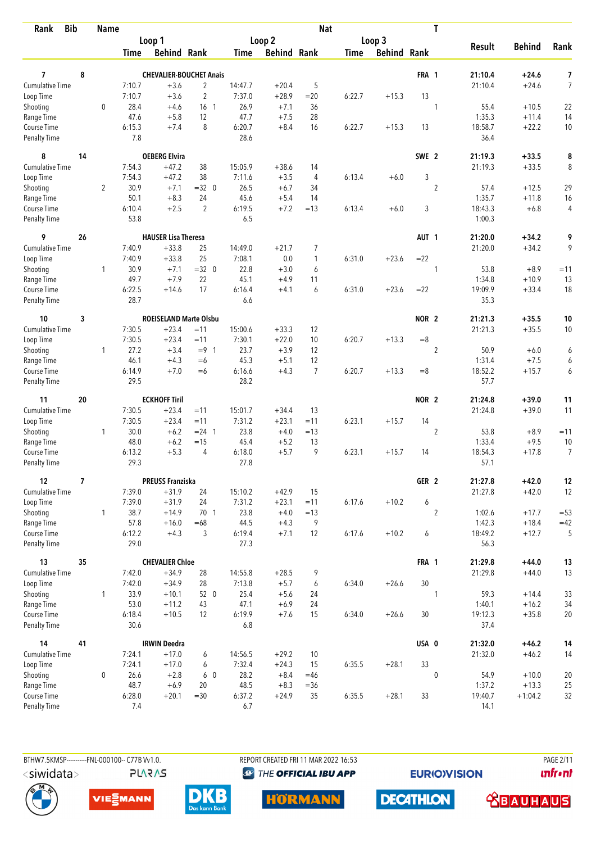| <b>Bib</b><br>Rank        |    | <b>Name</b>    |                |                                |                                   |                |                    | <b>Nat</b>     |             |                    |                  | T              |                |               |                |
|---------------------------|----|----------------|----------------|--------------------------------|-----------------------------------|----------------|--------------------|----------------|-------------|--------------------|------------------|----------------|----------------|---------------|----------------|
|                           |    |                |                | Loop 1                         |                                   |                | Loop 2             |                |             | Loop 3             |                  |                |                |               |                |
|                           |    |                | Time           | <b>Behind Rank</b>             |                                   | Time           | <b>Behind Rank</b> |                | <b>Time</b> | <b>Behind Rank</b> |                  |                | <b>Result</b>  | <b>Behind</b> | Rank           |
|                           |    |                |                |                                |                                   |                |                    |                |             |                    |                  |                |                |               |                |
| 7                         | 8  |                |                | <b>CHEVALIER-BOUCHET Anais</b> |                                   |                |                    |                |             |                    | FRA 1            |                | 21:10.4        | $+24.6$       | 7              |
| <b>Cumulative Time</b>    |    |                | 7:10.7         | $+3.6$                         | $\overline{2}$                    | 14:47.7        | $+20.4$            | 5              |             |                    |                  |                | 21:10.4        | $+24.6$       | $\overline{7}$ |
| Loop Time                 |    | $\mathbf 0$    | 7:10.7<br>28.4 | $+3.6$                         | $\overline{2}$<br>16 <sub>1</sub> | 7:37.0<br>26.9 | $+28.9$            | $= 20$<br>36   | 6:22.7      | $+15.3$            | 13               |                |                | $+10.5$       |                |
| Shooting                  |    |                | 47.6           | $+4.6$<br>$+5.8$               | 12                                | 47.7           | $+7.1$             | 28             |             |                    |                  | 1              | 55.4<br>1:35.3 | $+11.4$       | 22             |
| Range Time<br>Course Time |    |                | 6:15.3         | $+7.4$                         | 8                                 | 6:20.7         | $+7.5$<br>$+8.4$   | 16             | 6:22.7      | $+15.3$            | 13               |                | 18:58.7        | $+22.2$       | 14<br>10       |
| <b>Penalty Time</b>       |    |                | 7.8            |                                |                                   | 28.6           |                    |                |             |                    |                  |                | 36.4           |               |                |
| 8                         | 14 |                |                | <b>OEBERG Elvira</b>           |                                   |                |                    |                |             |                    | SWE <sub>2</sub> |                | 21:19.3        | $+33.5$       | 8              |
| Cumulative Time           |    |                | 7:54.3         | $+47.2$                        | 38                                | 15:05.9        | $+38.6$            | 14             |             |                    |                  |                | 21:19.3        | $+33.5$       | 8              |
| Loop Time                 |    |                | 7:54.3         | $+47.2$                        | 38                                | 7:11.6         | $+3.5$             | 4              | 6:13.4      | $+6.0$             | 3                |                |                |               |                |
| Shooting                  |    | $\overline{2}$ | 30.9           | $+7.1$                         | $=32$ 0                           | 26.5           | $+6.7$             | 34             |             |                    |                  | $\overline{2}$ | 57.4           | $+12.5$       | 29             |
| Range Time                |    |                | 50.1           | $+8.3$                         | 24                                | 45.6           | $+5.4$             | 14             |             |                    |                  |                | 1:35.7         | $+11.8$       | 16             |
| Course Time               |    |                | 6:10.4         | $+2.5$                         | $\overline{2}$                    | 6:19.5         | $+7.2$             | $=13$          | 6:13.4      | $+6.0$             | 3                |                | 18:43.3        | $+6.8$        | 4              |
| <b>Penalty Time</b>       |    |                | 53.8           |                                |                                   | 6.5            |                    |                |             |                    |                  |                | 1:00.3         |               |                |
| 9                         | 26 |                |                | <b>HAUSER Lisa Theresa</b>     |                                   |                |                    |                |             |                    | AUT <sub>1</sub> |                | 21:20.0        | $+34.2$       | 9              |
| <b>Cumulative Time</b>    |    |                | 7:40.9         | $+33.8$                        | 25                                | 14:49.0        | $+21.7$            | 7              |             |                    |                  |                | 21:20.0        | $+34.2$       | 9              |
| Loop Time                 |    |                | 7:40.9         | $+33.8$                        | 25                                | 7:08.1         | 0.0                | 1              | 6:31.0      | $+23.6$            | $= 22$           |                |                |               |                |
| Shooting                  |    | 1              | 30.9           | $+7.1$                         | $=32$ 0                           | 22.8           | $+3.0$             | 6              |             |                    |                  | 1              | 53.8           | $+8.9$        | $=11$          |
| Range Time                |    |                | 49.7           | $+7.9$                         | 22                                | 45.1           | $+4.9$             | 11             |             |                    |                  |                | 1:34.8         | $+10.9$       | 13             |
| Course Time               |    |                | 6:22.5         | $+14.6$                        | 17                                | 6:16.4         | $+4.1$             | 6              | 6:31.0      | $+23.6$            | $= 22$           |                | 19:09.9        | $+33.4$       | 18             |
| <b>Penalty Time</b>       |    |                | 28.7           |                                |                                   | 6.6            |                    |                |             |                    |                  |                | 35.3           |               |                |
| 10                        | 3  |                |                | <b>ROEISELAND Marte Olsbu</b>  |                                   |                |                    |                |             |                    | NOR <sub>2</sub> |                | 21:21.3        | $+35.5$       | 10             |
| Cumulative Time           |    |                | 7:30.5         | $+23.4$                        | $=11$                             | 15:00.6        | $+33.3$            | 12             |             |                    |                  |                | 21:21.3        | $+35.5$       | 10             |
| Loop Time                 |    |                | 7:30.5         | $+23.4$                        | $=11$                             | 7:30.1         | $+22.0$            | 10             | 6:20.7      | $+13.3$            | $=8$             |                |                |               |                |
| Shooting                  |    | $\mathbf{1}$   | 27.2           | $+3.4$                         | $= 9 \quad 1$                     | 23.7           | $+3.9$             | 12             |             |                    |                  | $\overline{2}$ | 50.9           | $+6.0$        | 6              |
| Range Time                |    |                | 46.1           | $+4.3$                         | $=6$                              | 45.3           | $+5.1$             | 12             |             |                    |                  |                | 1:31.4         | $+7.5$        | 6              |
| Course Time               |    |                | 6:14.9         | $+7.0$                         | $=6$                              | 6:16.6         | $+4.3$             | $\overline{7}$ | 6:20.7      | $+13.3$            | $=8$             |                | 18:52.2        | $+15.7$       | 6              |
| <b>Penalty Time</b>       |    |                | 29.5           |                                |                                   | 28.2           |                    |                |             |                    |                  |                | 57.7           |               |                |
| 11                        | 20 |                |                | <b>ECKHOFF Tiril</b>           |                                   |                |                    |                |             |                    | NOR <sub>2</sub> |                | 21:24.8        | $+39.0$       | 11             |
| <b>Cumulative Time</b>    |    |                | 7:30.5         | $+23.4$                        | $=11$                             | 15:01.7        | $+34.4$            | 13             |             |                    |                  |                | 21:24.8        | $+39.0$       | 11             |
| Loop Time                 |    |                | 7:30.5         | $+23.4$                        | $=11$                             | 7:31.2         | $+23.1$            | $=11$          | 6:23.1      | $+15.7$            | 14               |                |                |               |                |
| Shooting                  |    | 1              | 30.0           | $+6.2$                         | $= 24$ 1                          | 23.8           | $+4.0$             | $=13$          |             |                    |                  | $\overline{2}$ | 53.8           | $+8.9$        | $=11$          |
| Range Time                |    |                | 48.0           | $+6.2$                         | $=15$                             | 45.4           | $+5.2$             | 13             |             |                    |                  |                | 1:33.4         | $+9.5$        | 10             |
| Course Time               |    |                | 6:13.2         | $+5.3$                         | 4                                 | 6:18.0         | $+5.7$             | 9              | 6:23.1      | $+15.7$            | 14               |                | 18:54.3        | $+17.8$       | $\overline{7}$ |
| <b>Penalty Time</b>       |    |                | 29.3           |                                |                                   | 27.8           |                    |                |             |                    |                  |                | 57.1           |               |                |
| 12                        | 7  |                |                | <b>PREUSS Franziska</b>        |                                   |                |                    |                |             |                    | GER <sub>2</sub> |                | 21:27.8        | $+42.0$       | $12\,$         |
| Cumulative Time           |    |                | 7:39.0         | $+31.9$                        | 24                                | 15:10.2        | $+42.9$            | 15             |             |                    |                  |                | 21:27.8        | $+42.0$       | 12             |
| Loop Time                 |    |                | 7:39.0         | $+31.9$                        | 24                                | 7:31.2         | $+23.1$            | $=11$          | 6:17.6      | $+10.2$            | 6                |                |                |               |                |
| Shooting                  |    | $\mathbf{1}$   | 38.7           | $+14.9$                        | 70 1                              | 23.8           | $+4.0$             | $=13$          |             |                    |                  | $\overline{2}$ | 1:02.6         | $+17.7$       | $= 53$         |
| Range Time                |    |                | 57.8           | $+16.0$                        | $=68$                             | 44.5           | $+4.3$             | 9              |             |                    |                  |                | 1:42.3         | $+18.4$       | $=42$          |
| Course Time               |    |                | 6:12.2         | $+4.3$                         | 3                                 | 6:19.4         | $+7.1$             | 12             | 6:17.6      | $+10.2$            | 6                |                | 18:49.2        | $+12.7$       | 5              |
| Penalty Time              |    |                | 29.0           |                                |                                   | 27.3           |                    |                |             |                    |                  |                | 56.3           |               |                |
| 13                        | 35 |                |                | <b>CHEVALIER Chloe</b>         |                                   |                |                    |                |             |                    | FRA 1            |                | 21:29.8        | $+44.0$       | 13             |
| <b>Cumulative Time</b>    |    |                | 7:42.0         | $+34.9$                        | 28                                | 14:55.8        | $+28.5$            | 9              |             |                    |                  |                | 21:29.8        | $+44.0$       | 13             |
| Loop Time                 |    |                | 7:42.0         | $+34.9$                        | 28                                | 7:13.8         | $+5.7$             | 6              | 6:34.0      | $+26.6$            | 30               |                |                |               |                |
| Shooting                  |    | $\mathbf{1}$   | 33.9           | $+10.1$                        | 52 0                              | 25.4           | $+5.6$             | 24             |             |                    |                  | 1              | 59.3           | $+14.4$       | 33             |
| Range Time                |    |                | 53.0           | $+11.2$                        | 43                                | 47.1           | $+6.9$             | 24             |             |                    |                  |                | 1:40.1         | $+16.2$       | 34             |
| Course Time               |    |                | 6:18.4         | $+10.5$                        | $12 \overline{ }$                 | 6:19.9         | $+7.6$             | 15             | 6:34.0      | $+26.6$            | 30               |                | 19:12.3        | $+35.8$       | 20             |
| Penalty Time              |    |                | 30.6           |                                |                                   | 6.8            |                    |                |             |                    |                  |                | 37.4           |               |                |
| 14                        | 41 |                |                | <b>IRWIN Deedra</b>            |                                   |                |                    |                |             |                    | USA 0            |                | 21:32.0        | $+46.2$       | 14             |
| <b>Cumulative Time</b>    |    |                | 7:24.1         | $+17.0$                        | 6                                 | 14:56.5        | $+29.2$            | 10             |             |                    |                  |                | 21:32.0        | $+46.2$       | 14             |
| Loop Time                 |    |                | 7:24.1         | $+17.0$                        | 6                                 | 7:32.4         | $+24.3$            | 15             | 6:35.5      | $+28.1$            | 33               |                |                |               |                |
| Shooting                  |    | 0              | 26.6           | $+2.8$                         | 6 0                               | 28.2           | $+8.4$             | $=46$          |             |                    |                  | $\mathbf{0}$   | 54.9           | $+10.0$       | 20             |
| Range Time                |    |                | 48.7           | $+6.9$                         | 20                                | 48.5           | $+8.3$             | $= 36$         |             |                    |                  |                | 1:37.2         | $+13.3$       | 25             |
| Course Time               |    |                | 6:28.0         | $+20.1$                        | $=30$                             | 6:37.2         | $+24.9$            | 35             | 6:35.5      | $+28.1$            | 33               |                | 19:40.7        | $+1:04.2$     | 32             |
| Penalty Time              |    |                | 7.4            |                                |                                   | 6.7            |                    |                |             |                    |                  |                | 14.1           |               |                |

BTHW7.5KMSP-----------FNL-000100-- C77B Vv1.0. <siwidata>

**PLARAS** 

REPORT CREATED FRI 11 MAR 2022 16:53 <sup><sup>9</sup> THE OFFICIAL IBU APP</sup>

**EURIOVISION** 

**PAGE 2/11** *<u><u>Infront</u>*</u>











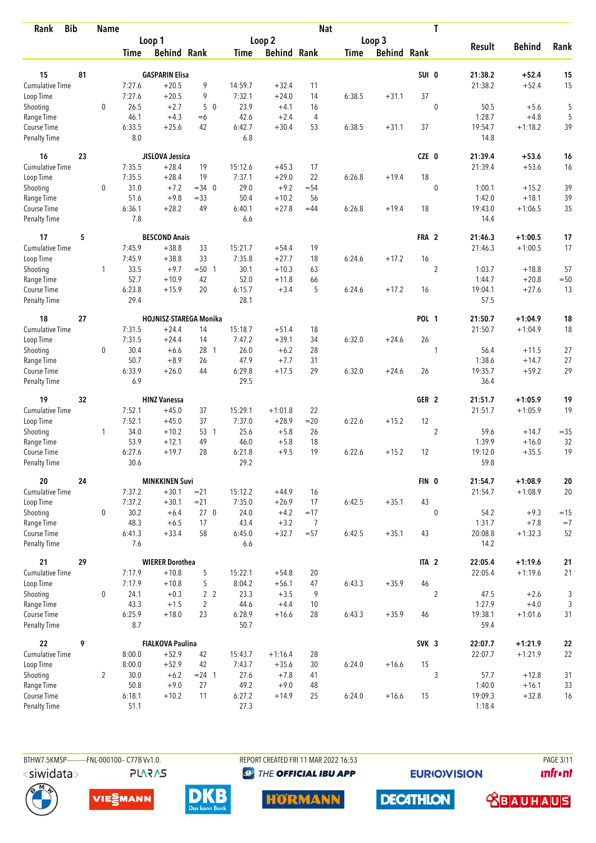| <b>Bib</b><br>Rank                 |    | <b>Name</b>    |                |                                    |                 |                |                    | <b>Nat</b>     |             |                    |                  | T              |                    |                        |                  |
|------------------------------------|----|----------------|----------------|------------------------------------|-----------------|----------------|--------------------|----------------|-------------|--------------------|------------------|----------------|--------------------|------------------------|------------------|
|                                    |    |                |                | Loop 1                             |                 |                | Loop 2             |                |             | Loop 3             |                  |                |                    |                        |                  |
|                                    |    |                | Time           | <b>Behind Rank</b>                 |                 | Time           | <b>Behind Rank</b> |                | <b>Time</b> | <b>Behind Rank</b> |                  |                | <b>Result</b>      | <b>Behind</b>          | Rank             |
| 15                                 | 81 |                |                | <b>GASPARIN Elisa</b>              |                 |                |                    |                |             |                    | SUI 0            |                | 21:38.2            | $+52.4$                | 15               |
| <b>Cumulative Time</b>             |    |                | 7:27.6         | $+20.5$                            | 9               | 14:59.7        | $+32.4$            | 11             |             |                    |                  |                | 21:38.2            | $+52.4$                | 15               |
| Loop Time                          |    |                | 7:27.6         | $+20.5$                            | 9               | 7:32.1         | $+24.0$            | 14             | 6:38.5      | $+31.1$            | 37               |                |                    |                        |                  |
| Shooting                           |    | $\mathbf 0$    | 26.5           | $+2.7$                             | 50              | 23.9           | $+4.1$             | 16             |             |                    |                  | $\mathbf 0$    | 50.5               | $+5.6$                 | 5                |
| Range Time                         |    |                | 46.1           | $+4.3$                             | $=6$            | 42.6           | $+2.4$             | $\overline{4}$ |             |                    |                  |                | 1:28.7             | $+4.8$                 | 5                |
| Course Time                        |    |                | 6:33.5         | $+25.6$                            | 42              | 6:42.7         | $+30.4$            | 53             | 6:38.5      | $+31.1$            | 37               |                | 19:54.7            | $+1:18.2$              | 39               |
| <b>Penalty Time</b>                |    |                | 8.0            |                                    |                 | 6.8            |                    |                |             |                    |                  |                | 14.8               |                        |                  |
| 16                                 | 23 |                |                | JISLOVA Jessica                    |                 |                |                    |                |             |                    | CZE 0            |                | 21:39.4            | $+53.6$                | 16               |
| <b>Cumulative Time</b>             |    |                | 7:35.5         | $+28.4$                            | 19              | 15:12.6        | $+45.3$            | 17             |             |                    |                  |                | 21:39.4            | $+53.6$                | 16               |
| Loop Time                          |    |                | 7:35.5         | $+28.4$                            | 19              | 7:37.1         | $+29.0$            | 22             | 6:26.8      | $+19.4$            | 18               |                |                    |                        |                  |
| Shooting                           |    | 0              | 31.0           | $+7.2$                             | $=34$ 0         | 29.0           | $+9.2$             | $= 54$         |             |                    |                  | $\mathbf{0}$   | 1:00.1             | $+15.2$                | 39               |
| Range Time                         |    |                | 51.6           | $+9.8$                             | $= 33$          | 50.4           | $+10.2$            | 56             |             |                    |                  |                | 1:42.0             | $+18.1$                | 39               |
| Course Time                        |    |                | 6:36.1         | $+28.2$                            | 49              | 6:40.1         | $+27.8$            | $=44$          | 6:26.8      | $+19.4$            | 18               |                | 19:43.0            | $+1:06.5$              | 35               |
| <b>Penalty Time</b>                |    |                | 7.8            |                                    |                 | 6.6            |                    |                |             |                    |                  |                | 14.4               |                        |                  |
| 17                                 | 5  |                |                | <b>BESCOND Anais</b>               |                 |                |                    |                |             |                    | FRA 2            |                | 21:46.3            | $+1:00.5$              | 17               |
| <b>Cumulative Time</b>             |    |                | 7:45.9         | $+38.8$                            | 33              | 15:21.7        | $+54.4$            | 19             |             |                    |                  |                | 21:46.3            | $+1:00.5$              | 17               |
| Loop Time                          |    |                | 7:45.9         | $+38.8$                            | 33              | 7:35.8         | $+27.7$            | 18             | 6:24.6      | $+17.2$            | 16               |                |                    |                        |                  |
| Shooting                           |    | 1              | 33.5           | $+9.7$                             | $= 50$ 1        | 30.1           | $+10.3$            | 63             |             |                    |                  | $\overline{c}$ | 1:03.7             | $+18.8$                | 57               |
| Range Time                         |    |                | 52.7           | $+10.9$                            | 42              | 52.0           | $+11.8$            | 66             |             |                    |                  |                | 1:44.7             | $+20.8$                | $=50$            |
| Course Time<br><b>Penalty Time</b> |    |                | 6:23.8<br>29.4 | $+15.9$                            | 20              | 6:15.7<br>28.1 | $+3.4$             | 5              | 6:24.6      | $+17.2$            | 16               |                | 19:04.1<br>57.5    | $+27.6$                | 13               |
| 18                                 | 27 |                |                | <b>HOJNISZ-STAREGA Monika</b>      |                 |                |                    |                |             |                    | <b>POL 1</b>     |                | 21:50.7            | $+1:04.9$              | 18               |
| <b>Cumulative Time</b>             |    |                | 7:31.5         | $+24.4$                            | 14              | 15:18.7        | $+51.4$            | 18             |             |                    |                  |                | 21:50.7            | $+1:04.9$              | 18               |
| Loop Time                          |    |                | 7:31.5         | $+24.4$                            | 14              | 7:47.2         | $+39.1$            | 34             | 6:32.0      | $+24.6$            | 26               |                |                    |                        |                  |
| Shooting                           |    | 0              | 30.4           | $+6.6$                             | 28 1            | 26.0           | $+6.2$             | 28             |             |                    |                  | 1              | 56.4               | $+11.5$                | 27               |
| Range Time                         |    |                | 50.7           | $+8.9$                             | 26              | 47.9           | $+7.7$             | 31             |             |                    |                  |                | 1:38.6             | $+14.7$                | 27               |
| Course Time                        |    |                | 6:33.9         | $+26.0$                            | 44              | 6:29.8         | $+17.5$            | 29             | 6:32.0      | $+24.6$            | 26               |                | 19:35.7            | $+59.2$                | 29               |
| <b>Penalty Time</b>                |    |                | 6.9            |                                    |                 | 29.5           |                    |                |             |                    |                  |                | 36.4               |                        |                  |
| 19                                 | 32 |                |                | <b>HINZ Vanessa</b>                |                 |                |                    |                |             |                    | GER <sub>2</sub> |                | 21:51.7            | $+1:05.9$              | 19               |
| <b>Cumulative Time</b>             |    |                | 7:52.1         | $+45.0$                            | 37              | 15:29.1        | $+1:01.8$          | 22             |             |                    |                  |                | 21:51.7            | $+1:05.9$              | 19               |
| Loop Time                          |    |                | 7:52.1         | $+45.0$                            | 37              | 7:37.0         | $+28.9$            | $= 20$         | 6:22.6      | $+15.2$            | 12               |                |                    |                        |                  |
| Shooting                           |    | 1              | 34.0           | $+10.2$                            | 53 1            | 25.6           | $+5.8$             | 26             |             |                    |                  | $\overline{2}$ | 59.6               | $+14.7$                | $= 35$           |
| Range Time                         |    |                | 53.9           | $+12.1$                            | 49              | 46.0           | $+5.8$             | 18             |             |                    |                  |                | 1:39.9             | $+16.0$                | 32               |
| Course Time<br><b>Penalty Time</b> |    |                | 6:27.6<br>30.6 | $+19.7$                            | 28              | 6:21.8<br>29.2 | $+9.5$             | 19             | 6:22.6      | $+15.2$            | 12               |                | 19:12.0<br>59.8    | $+35.5$                | 19               |
| 20                                 | 24 |                |                |                                    |                 |                |                    |                |             |                    |                  |                |                    |                        |                  |
| Cumulative Time                    |    |                | 7:37.2         | <b>MINKKINEN Suvi</b><br>$+30.1$   | $= 21$          | 15:12.2        | $+44.9$            | 16             |             |                    | FIN 0            |                | 21:54.7<br>21:54.7 | $+1:08.9$<br>$+1:08.9$ | ${\bf 20}$<br>20 |
| Loop Time                          |    |                | 7:37.2         | $+30.1$                            | $= 21$          | 7:35.0         | $+26.9$            | 17             | 6:42.5      | $+35.1$            | 43               |                |                    |                        |                  |
| Shooting                           |    | 0              | 30.2           | $+6.4$                             | 27 <sub>0</sub> | 24.0           | $+4.2$             | $=17$          |             |                    |                  | $\mathbf{0}$   | 54.2               | $+9.3$                 | $=15$            |
| Range Time                         |    |                | 48.3           | $+6.5$                             | 17              | 43.4           | $+3.2$             | 7              |             |                    |                  |                | 1:31.7             | $+7.8$                 | $=7$             |
| Course Time                        |    |                | 6:41.3         | $+33.4$                            | 58              | 6:45.0         | $+32.7$            | $= 57$         | 6:42.5      | $+35.1$            | 43               |                | 20:08.8            | $+1:32.3$              | 52               |
| Penalty Time                       |    |                | 7.6            |                                    |                 | 6.6            |                    |                |             |                    |                  |                | 14.2               |                        |                  |
| 21                                 | 29 |                |                | <b>WIERER Dorothea</b>             |                 |                |                    |                |             |                    | ITA <sub>2</sub> |                | 22:05.4            | $+1:19.6$              | 21               |
| <b>Cumulative Time</b>             |    |                | 7:17.9         | $+10.8$                            | 5               | 15:22.1        | $+54.8$            | 20             |             |                    |                  |                | 22:05.4            | $+1:19.6$              | 21               |
| Loop Time                          |    |                | 7:17.9         | $+10.8$                            | 5               | 8:04.2         | $+56.1$            | 47             | 6:43.3      | $+35.9$            | 46               |                |                    |                        |                  |
| Shooting                           |    | 0              | 24.1           | $+0.3$                             | 2 <sub>2</sub>  | 23.3           | $+3.5$             | 9              |             |                    |                  | $\overline{2}$ | 47.5               | $+2.6$                 | $\mathfrak{Z}$   |
| Range Time                         |    |                | 43.3           | $+1.5$                             | 2               | 44.6           | $+4.4$             | 10             |             |                    |                  |                | 1:27.9             | $+4.0$                 | $\sqrt{3}$       |
| Course Time<br>Penalty Time        |    |                | 6:25.9<br>8.7  | $+18.0$                            | 23              | 6:28.9<br>50.7 | $+16.6$            | 28             | 6:43.3      | $+35.9$            | 46               |                | 19:38.1<br>59.4    | $+1:01.6$              | 31               |
|                                    |    |                |                |                                    |                 |                |                    |                |             |                    |                  |                |                    |                        |                  |
| 22<br>Cumulative Time              | 9  |                | 8:00.0         | <b>FIALKOVA Paulina</b><br>$+52.9$ | 42              | 15:43.7        | $+1:16.4$          | 28             |             |                    | SVK 3            |                | 22:07.7<br>22:07.7 | $+1:21.9$<br>$+1:21.9$ | ${\bf 22}$<br>22 |
| Loop Time                          |    |                | 8:00.0         | $+52.9$                            | 42              | 7:43.7         | $+35.6$            | 30             | 6:24.0      | $+16.6$            | 15               |                |                    |                        |                  |
| Shooting                           |    | $\overline{2}$ | 30.0           | $+6.2$                             | $= 24$ 1        | 27.6           | $+7.8$             | 41             |             |                    |                  | 3              | 57.7               | $+12.8$                | 31               |
| Range Time                         |    |                | 50.8           | $+9.0$                             | 27              | 49.2           | $+9.0$             | 48             |             |                    |                  |                | 1:40.0             | $+16.1$                | 33               |
| Course Time                        |    |                | 6:18.1         | $+10.2$                            | 11              | 6:27.2         | $+14.9$            | 25             | 6:24.0      | $+16.6$            | 15               |                | 19:09.3            | $+32.8$                | 16               |
| <b>Penalty Time</b>                |    |                | 51.1           |                                    |                 | 27.3           |                    |                |             |                    |                  |                | 1:18.4             |                        |                  |

**PLARAS** 

BTHW7.5KMSP----------FNL-000100-- C77B Vv1.0. REPORT CREATED FRI 11 MAR 2022 16:53 PAGE 3/11 <sup><sup>9</sup> THE OFFICIAL IBU APP</sup>

**EURIOVISION** 

*<u><u>Infront</u>*</u>









**DECATHLON** 

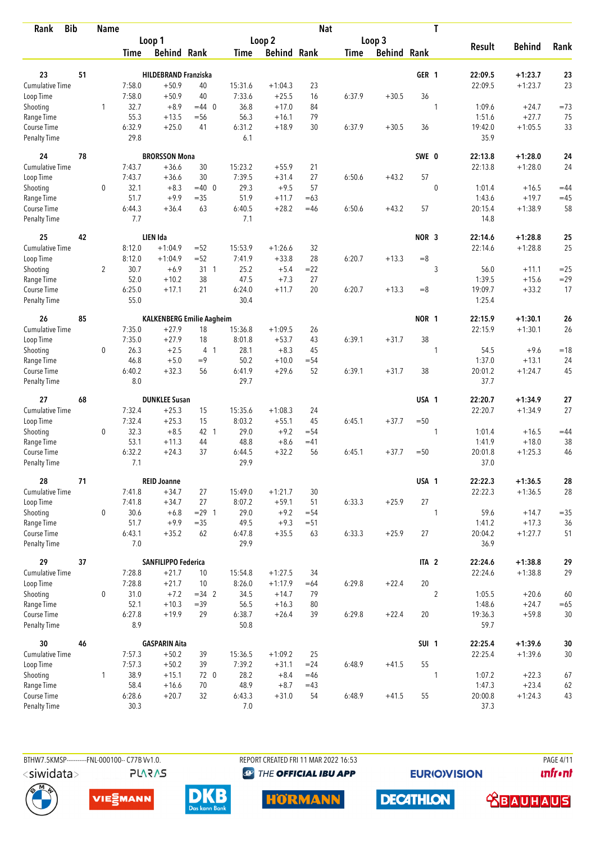| <b>Bib</b><br>Rank                 |    | <b>Name</b>    |               |                                  |                |                |                    | <b>Nat</b>     |             |                    |                  | T              |                  |                    |              |
|------------------------------------|----|----------------|---------------|----------------------------------|----------------|----------------|--------------------|----------------|-------------|--------------------|------------------|----------------|------------------|--------------------|--------------|
|                                    |    |                |               | Loop 1                           |                |                | Loop 2             |                |             | Loop 3             |                  |                |                  |                    |              |
|                                    |    |                | Time          | <b>Behind Rank</b>               |                | Time           | <b>Behind Rank</b> |                | <b>Time</b> | <b>Behind Rank</b> |                  |                | <b>Result</b>    | <b>Behind</b>      | Rank         |
| 23                                 | 51 |                |               | <b>HILDEBRAND Franziska</b>      |                |                |                    |                |             |                    | GER <sub>1</sub> |                | 22:09.5          | $+1:23.7$          | 23           |
| <b>Cumulative Time</b>             |    |                | 7:58.0        | $+50.9$                          | 40             | 15:31.6        | $+1:04.3$          | 23             |             |                    |                  |                | 22:09.5          | $+1:23.7$          | 23           |
| Loop Time                          |    |                | 7:58.0        | $+50.9$                          | 40             | 7:33.6         | $+25.5$            | 16             | 6:37.9      | $+30.5$            | 36               |                |                  |                    |              |
| Shooting                           |    | 1              | 32.7          | $+8.9$                           | $=44$ 0        | 36.8           | $+17.0$            | 84             |             |                    |                  | 1              | 1:09.6           | $+24.7$            | $=73$        |
| Range Time                         |    |                | 55.3          | $+13.5$                          | $= 56$         | 56.3           | $+16.1$            | 79             |             |                    |                  |                | 1:51.6           | $+27.7$            | 75           |
| Course Time                        |    |                | 6:32.9        | $+25.0$                          | 41             | 6:31.2         | $+18.9$            | 30             | 6:37.9      | $+30.5$            | 36               |                | 19:42.0          | $+1:05.5$          | 33           |
| <b>Penalty Time</b>                |    |                | 29.8          |                                  |                | 6.1            |                    |                |             |                    |                  |                | 35.9             |                    |              |
| 24                                 | 78 |                |               | <b>BRORSSON Mona</b>             |                |                |                    |                |             |                    | SWE 0            |                | 22:13.8          | $+1:28.0$          | 24           |
| Cumulative Time                    |    |                | 7:43.7        | $+36.6$                          | 30             | 15:23.2        | $+55.9$            | 21             |             |                    |                  |                | 22:13.8          | $+1:28.0$          | 24           |
| Loop Time                          |    |                | 7:43.7        | $+36.6$                          | 30             | 7:39.5         | $+31.4$            | 27             | 6:50.6      | $+43.2$            | 57               |                |                  |                    |              |
| Shooting                           |    | 0              | 32.1          | $+8.3$                           | $=40$ 0        | 29.3           | $+9.5$             | 57             |             |                    |                  | $\mathbf{0}$   | 1:01.4           | $+16.5$            | $=44$        |
| Range Time                         |    |                | 51.7          | $+9.9$                           | $= 35$         | 51.9           | $+11.7$            | $=63$          |             |                    |                  |                | 1:43.6           | $+19.7$            | $=45$        |
| Course Time                        |    |                | 6:44.3        | $+36.4$                          | 63             | 6:40.5         | $+28.2$            | $=46$          | 6:50.6      | $+43.2$            | 57               |                | 20:15.4          | $+1:38.9$          | 58           |
| Penalty Time                       |    |                | 7.7           |                                  |                | 7.1            |                    |                |             |                    |                  |                | 14.8             |                    |              |
| 25                                 | 42 |                |               | LIEN Ida                         |                |                |                    |                |             |                    | NOR <sub>3</sub> |                | 22:14.6          | $+1:28.8$          | 25           |
| <b>Cumulative Time</b>             |    |                | 8:12.0        | $+1:04.9$                        | $= 52$         | 15:53.9        | $+1:26.6$          | 32             |             |                    |                  |                | 22:14.6          | $+1:28.8$          | 25           |
| Loop Time                          |    |                | 8:12.0        | $+1:04.9$                        | $=52$          | 7:41.9         | $+33.8$            | 28             | 6:20.7      | $+13.3$            | $=8$             |                |                  |                    |              |
| Shooting                           |    | $\overline{2}$ | 30.7<br>52.0  | $+6.9$<br>$+10.2$                | $31 \quad 1$   | 25.2<br>47.5   | $+5.4$<br>$+7.3$   | $=22$<br>27    |             |                    |                  | 3              | 56.0<br>1:39.5   | $+11.1$<br>$+15.6$ | $=25$        |
| Range Time<br>Course Time          |    |                | 6:25.0        | $+17.1$                          | 38<br>21       | 6:24.0         | $+11.7$            | 20             | 6:20.7      | $+13.3$            | $=8$             |                | 19:09.7          | $+33.2$            | $= 29$<br>17 |
| <b>Penalty Time</b>                |    |                | 55.0          |                                  |                | 30.4           |                    |                |             |                    |                  |                | 1:25.4           |                    |              |
| 26                                 | 85 |                |               | <b>KALKENBERG Emilie Aagheim</b> |                |                |                    |                |             |                    | <b>NOR 1</b>     |                | 22:15.9          | $+1:30.1$          | 26           |
| <b>Cumulative Time</b>             |    |                | 7:35.0        | $+27.9$                          | 18             | 15:36.8        | $+1:09.5$          | 26             |             |                    |                  |                | 22:15.9          | $+1:30.1$          | 26           |
| Loop Time                          |    |                | 7:35.0        | $+27.9$                          | 18             | 8:01.8         | $+53.7$            | 43             | 6:39.1      | $+31.7$            | 38               |                |                  |                    |              |
| Shooting                           |    | 0              | 26.3          | $+2.5$                           | 4 <sub>1</sub> | 28.1           | $+8.3$             | 45             |             |                    |                  | 1              | 54.5             | $+9.6$             | $=18$        |
| Range Time                         |    |                | 46.8          | $+5.0$                           | $=9$           | 50.2           | $+10.0$            | $= 54$         |             |                    |                  |                | 1:37.0           | $+13.1$            | 24           |
| Course Time                        |    |                | 6:40.2        | $+32.3$                          | 56             | 6:41.9         | $+29.6$            | 52             | 6:39.1      | $+31.7$            | 38               |                | 20:01.2          | $+1:24.7$          | 45           |
| <b>Penalty Time</b>                |    |                | 8.0           |                                  |                | 29.7           |                    |                |             |                    |                  |                | 37.7             |                    |              |
| 27                                 | 68 |                |               | <b>DUNKLEE Susan</b>             |                |                |                    |                |             |                    | USA 1            |                | 22:20.7          | $+1:34.9$          | 27           |
| <b>Cumulative Time</b>             |    |                | 7:32.4        | $+25.3$                          | 15             | 15:35.6        | $+1:08.3$          | 24             |             |                    |                  |                | 22:20.7          | $+1:34.9$          | 27           |
| Loop Time                          |    |                | 7:32.4        | $+25.3$                          | 15             | 8:03.2         | $+55.1$            | 45             | 6:45.1      | $+37.7$            | $= 50$           |                |                  |                    |              |
| Shooting                           |    | 0              | 32.3          | $+8.5$                           | 42 1           | 29.0           | $+9.2$             | $= 54$         |             |                    |                  | 1              | 1:01.4           | $+16.5$            | $=44$        |
| Range Time                         |    |                | 53.1          | $+11.3$                          | 44             | 48.8           | $+8.6$             | $=41$          |             |                    |                  |                | 1:41.9           | $+18.0$            | 38           |
| Course Time<br><b>Penalty Time</b> |    |                | 6:32.2<br>7.1 | $+24.3$                          | 37             | 6:44.5<br>29.9 | $+32.2$            | 56             | 6:45.1      | $+37.7$            | $= 50$           |                | 20:01.8<br>37.0  | $+1:25.3$          | 46           |
| 28                                 | 71 |                |               | <b>REID Joanne</b>               |                |                |                    |                |             |                    | USA 1            |                | 22:22.3          | $+1:36.5$          | 28           |
| Cumulative Time                    |    |                | 7:41.8        | $+34.7$                          | 27             | 15:49.0        | $+1:21.7$          | 30             |             |                    |                  |                | 22:22.3          | $+1:36.5$          | 28           |
| Loop Time                          |    |                | 7:41.8        | $+34.7$                          | 27             | 8:07.2         | $+59.1$            | 51             | 6:33.3      | $+25.9$            | 27               |                |                  |                    |              |
| Shooting                           |    | 0              | 30.6          | $+6.8$                           | $= 29$ 1       | 29.0           | $+9.2$             | $= 54$         |             |                    |                  | 1              | 59.6             | $+14.7$            | $= 35$       |
| Range Time                         |    |                | 51.7          | $+9.9$                           | $= 35$         | 49.5           | $+9.3$             | $= 51$         |             |                    |                  |                | 1:41.2           | $+17.3$            | 36           |
| Course Time                        |    |                | 6:43.1        | $+35.2$                          | 62             | 6:47.8         | $+35.5$            | 63             | 6:33.3      | $+25.9$            | 27               |                | 20:04.2          | $+1:27.7$          | 51           |
| Penalty Time                       |    |                | 7.0           |                                  |                | 29.9           |                    |                |             |                    |                  |                | 36.9             |                    |              |
| 29                                 | 37 |                |               | <b>SANFILIPPO Federica</b>       |                |                |                    |                |             |                    | ITA <sub>2</sub> |                | 22:24.6          | $+1:38.8$          | 29           |
| <b>Cumulative Time</b>             |    |                | 7:28.8        | $+21.7$                          | 10             | 15:54.8        | $+1:27.5$          | 34             |             |                    |                  |                | 22:24.6          | $+1:38.8$          | 29           |
| Loop Time                          |    |                | 7:28.8        | $+21.7$                          | 10             | 8:26.0         | $+1:17.9$          | $=64$          | 6:29.8      | $+22.4$            | 20               |                |                  |                    |              |
| Shooting                           |    | 0              | 31.0          | $+7.2$                           | $=34$ 2        | 34.5           | $+14.7$            | 79             |             |                    |                  | $\overline{2}$ | 1:05.5           | $+20.6$            | 60           |
| Range Time                         |    |                | 52.1          | $+10.3$                          | $=39$          | 56.5           | $+16.3$            | 80             |             |                    |                  |                | 1:48.6           | $+24.7$            | $= 65$       |
| Course Time<br>Penalty Time        |    |                | 6:27.8<br>8.9 | $+19.9$                          | 29             | 6:38.7<br>50.8 | $+26.4$            | 39             | 6:29.8      | $+22.4$            | 20               |                | 19:36.3<br>59.7  | $+59.8$            | 30           |
|                                    |    |                |               |                                  |                |                |                    |                |             |                    |                  |                |                  |                    |              |
| 30                                 | 46 |                |               | <b>GASPARIN Aita</b>             |                |                |                    |                |             |                    | SUI <sub>1</sub> |                | 22:25.4          | $+1:39.6$          | 30           |
| Cumulative Time                    |    |                | 7:57.3        | $+50.2$                          | 39             | 15:36.5        | $+1:09.2$          | 25             |             |                    |                  |                | 22:25.4          | $+1:39.6$          | $30\,$       |
| Loop Time                          |    |                | 7:57.3        | $+50.2$                          | 39             | 7:39.2         | $+31.1$            | $= 24$         | 6:48.9      | $+41.5$            | 55               |                |                  |                    |              |
| Shooting                           |    | $\mathbf{1}$   | 38.9<br>58.4  | $+15.1$<br>$+16.6$               | 72 0<br>70     | 28.2<br>48.9   | $+8.4$<br>$+8.7$   | $=46$<br>$=43$ |             |                    |                  | 1              | 1:07.2<br>1:47.3 | $+22.3$<br>$+23.4$ | 67<br>62     |
| Range Time<br>Course Time          |    |                | 6:28.6        | $+20.7$                          | 32             | 6:43.3         | $+31.0$            | 54             | 6:48.9      | $+41.5$            | 55               |                | 20:00.8          | $+1:24.3$          | 43           |
| Penalty Time                       |    |                | 30.3          |                                  |                | 7.0            |                    |                |             |                    |                  |                | 37.3             |                    |              |



BTHW7.5KMSP-----------FNL-000100-- C77B Vv1.0.

**PLARAS** 

REPORT CREATED FRI 11 MAR 2022 16:53 <sup><sup>9</sup> THE OFFICIAL IBU APP</sup>

**EURIOVISION** 

**PAGE 4/11** *<u><u>Infront</u>*</u>









**DECATHLON** 

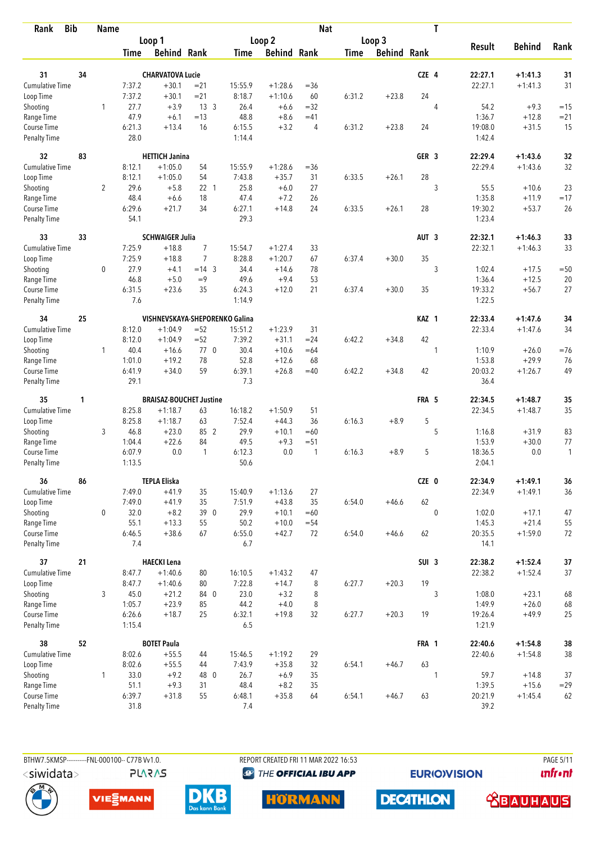| <b>Bib</b><br>Rank          |    | <b>Name</b>  |                  |                                |                  |                |                    | <b>Nat</b>     |             |                    | T                |                   |                    |              |
|-----------------------------|----|--------------|------------------|--------------------------------|------------------|----------------|--------------------|----------------|-------------|--------------------|------------------|-------------------|--------------------|--------------|
|                             |    |              |                  | Loop 1                         |                  |                | Loop 2             |                |             | Loop 3             |                  |                   |                    |              |
|                             |    |              | <b>Time</b>      | <b>Behind Rank</b>             |                  | Time           | <b>Behind Rank</b> |                | <b>Time</b> | <b>Behind Rank</b> |                  | <b>Result</b>     | <b>Behind</b>      | Rank         |
| 31                          | 34 |              |                  | <b>CHARVATOVA Lucie</b>        |                  |                |                    |                |             |                    | CZE 4            | 22:27.1           | $+1:41.3$          | 31           |
| <b>Cumulative Time</b>      |    |              | 7:37.2           | $+30.1$                        | $= 21$           | 15:55.9        | $+1:28.6$          | $=36$          |             |                    |                  | 22:27.1           | $+1:41.3$          | 31           |
| Loop Time                   |    |              | 7:37.2           | $+30.1$                        | $= 21$           | 8:18.7         | $+1:10.6$          | 60             | 6:31.2      | $+23.8$            | 24               |                   |                    |              |
| Shooting                    |    | $\mathbf{1}$ | 27.7             | $+3.9$                         | 13 <sup>3</sup>  | 26.4           | $+6.6$             | $=32$          |             |                    | $\overline{4}$   | 54.2              | $+9.3$             | $=15$        |
| Range Time                  |    |              | 47.9             | $+6.1$                         | $=13$            | 48.8           | $+8.6$             | $=41$          |             |                    |                  | 1:36.7            | $+12.8$            | $= 21$       |
| Course Time                 |    |              | 6:21.3           | $+13.4$                        | 16               | 6:15.5         | $+3.2$             | $\overline{4}$ | 6:31.2      | $+23.8$            | 24               | 19:08.0           | $+31.5$            | 15           |
| <b>Penalty Time</b>         |    |              | 28.0             |                                |                  | 1:14.4         |                    |                |             |                    |                  | 1:42.4            |                    |              |
| 32                          | 83 |              |                  | <b>HETTICH Janina</b>          |                  |                |                    |                |             |                    | GER <sub>3</sub> | 22:29.4           | $+1:43.6$          | 32           |
| Cumulative Time             |    |              | 8:12.1           | $+1:05.0$                      | 54               | 15:55.9        | $+1:28.6$          | $= 36$         |             |                    |                  | 22:29.4           | $+1:43.6$          | 32           |
| Loop Time                   |    |              | 8:12.1           | $+1:05.0$                      | 54               | 7:43.8         | $+35.7$            | 31             | 6:33.5      | $+26.1$            | 28               |                   |                    |              |
| Shooting                    |    | 2            | 29.6             | $+5.8$                         | $22 \quad 1$     | 25.8           | $+6.0$             | 27             |             |                    | 3                | 55.5              | $+10.6$            | 23           |
| Range Time                  |    |              | 48.4             | $+6.6$                         | 18               | 47.4           | $+7.2$             | 26             |             |                    |                  | 1:35.8            | $+11.9$            | $=17$        |
| Course Time                 |    |              | 6:29.6           | $+21.7$                        | 34               | 6:27.1         | $+14.8$            | 24             | 6:33.5      | $+26.1$            | 28               | 19:30.2           | $+53.7$            | 26           |
| Penalty Time                |    |              | 54.1             |                                |                  | 29.3           |                    |                |             |                    |                  | 1:23.4            |                    |              |
| 33                          | 33 |              |                  | <b>SCHWAIGER Julia</b>         |                  |                |                    |                |             |                    | AUT <sub>3</sub> | 22:32.1           | $+1:46.3$          | 33           |
| <b>Cumulative Time</b>      |    |              | 7:25.9           | $+18.8$                        | 7                | 15:54.7        | $+1:27.4$          | 33             |             |                    |                  | 22:32.1           | $+1:46.3$          | 33           |
| Loop Time                   |    |              | 7:25.9           | $+18.8$                        | $\overline{7}$   | 8:28.8         | $+1:20.7$          | 67             | 6:37.4      | $+30.0$            | 35               |                   |                    |              |
| Shooting                    |    | 0            | 27.9<br>46.8     | $+4.1$<br>$+5.0$               | $= 14$ 3<br>$=9$ | 34.4<br>49.6   | $+14.6$<br>$+9.4$  | 78             |             |                    | 3                | 1:02.4            | $+17.5$<br>$+12.5$ | $=50$        |
| Range Time<br>Course Time   |    |              | 6:31.5           | $+23.6$                        | 35               | 6:24.3         | $+12.0$            | 53<br>21       | 6:37.4      | $+30.0$            | 35               | 1:36.4<br>19:33.2 | $+56.7$            | 20<br>27     |
| <b>Penalty Time</b>         |    |              | 7.6              |                                |                  | 1:14.9         |                    |                |             |                    |                  | 1:22.5            |                    |              |
| 34                          | 25 |              |                  | VISHNEVSKAYA-SHEPORENKO Galina |                  |                |                    |                |             |                    | KAZ 1            | 22:33.4           | $+1:47.6$          | 34           |
| Cumulative Time             |    |              | 8:12.0           | $+1:04.9$                      | $=52$            | 15:51.2        | $+1:23.9$          | 31             |             |                    |                  | 22:33.4           | $+1:47.6$          | 34           |
| Loop Time                   |    |              | 8:12.0           | $+1:04.9$                      | $=52$            | 7:39.2         | $+31.1$            | $= 24$         | 6:42.2      | $+34.8$            | 42               |                   |                    |              |
| Shooting                    |    | 1            | 40.4             | $+16.6$                        | 770              | 30.4           | $+10.6$            | $=64$          |             |                    | 1                | 1:10.9            | $+26.0$            | $=76$        |
| Range Time                  |    |              | 1:01.0           | $+19.2$                        | 78               | 52.8           | $+12.6$            | 68             |             |                    |                  | 1:53.8            | $+29.9$            | 76           |
| Course Time                 |    |              | 6:41.9           | $+34.0$                        | 59               | 6:39.1         | $+26.8$            | $=40$          | 6:42.2      | $+34.8$            | 42               | 20:03.2           | $+1:26.7$          | 49           |
| <b>Penalty Time</b>         |    |              | 29.1             |                                |                  | 7.3            |                    |                |             |                    |                  | 36.4              |                    |              |
| 35                          | 1  |              |                  | <b>BRAISAZ-BOUCHET Justine</b> |                  |                |                    |                |             |                    | FRA 5            | 22:34.5           | $+1:48.7$          | 35           |
| Cumulative Time             |    |              | 8:25.8           | $+1:18.7$                      | 63               | 16:18.2        | $+1:50.9$          | 51             |             |                    |                  | 22:34.5           | $+1:48.7$          | 35           |
| Loop Time                   |    |              | 8:25.8           | $+1:18.7$                      | 63               | 7:52.4         | $+44.3$            | 36             | 6:16.3      | $+8.9$             | 5                |                   |                    |              |
| Shooting                    |    | 3            | 46.8             | $+23.0$                        | 85 2             | 29.9           | $+10.1$            | $=60$          |             |                    | 5                | 1:16.8            | $+31.9$            | 83           |
| Range Time                  |    |              | 1:04.4           | $+22.6$                        | 84               | 49.5           | $+9.3$             | $= 51$         |             |                    |                  | 1:53.9            | $+30.0$            | 77           |
| Course Time                 |    |              | 6:07.9<br>1:13.5 | 0.0                            | $\mathbf{1}$     | 6:12.3<br>50.6 | 0.0                | $\mathbf{1}$   | 6:16.3      | $+8.9$             | 5                | 18:36.5<br>2:04.1 | 0.0                | $\mathbf{1}$ |
| <b>Penalty Time</b>         |    |              |                  |                                |                  |                |                    |                |             |                    |                  |                   |                    |              |
| 36                          | 86 |              |                  | <b>TEPLA Eliska</b>            |                  |                |                    |                |             |                    | CZE 0            | 22:34.9           | $+1:49.1$          | 36           |
| Cumulative Time             |    |              | 7:49.0           | $+41.9$                        | 35               | 15:40.9        | $+1:13.6$          | 27             |             |                    |                  | 22:34.9           | $+1:49.1$          | 36           |
| Loop Time                   |    |              | 7:49.0           | $+41.9$                        | 35               | 7:51.9         | $+43.8$            | 35             | 6:54.0      | $+46.6$            | 62               |                   |                    |              |
| Shooting                    |    | 0            | 32.0             | $+8.2$                         | 39 0             | 29.9           | $+10.1$            | $=60$          |             |                    | $\mathbf{0}$     | 1:02.0            | $+17.1$            | 47           |
| Range Time                  |    |              | 55.1             | $+13.3$                        | 55               | 50.2           | $+10.0$            | $= 54$         |             |                    |                  | 1:45.3            | $+21.4$            | 55           |
| Course Time<br>Penalty Time |    |              | 6:46.5<br>7.4    | $+38.6$                        | 67               | 6:55.0<br>6.7  | $+42.7$            | 72             | 6:54.0      | $+46.6$            | 62               | 20:35.5<br>14.1   | $+1:59.0$          | 72           |
| 37                          | 21 |              |                  | <b>HAECKI Lena</b>             |                  |                |                    |                |             |                    | SUI <sub>3</sub> | 22:38.2           | $+1:52.4$          | $37$         |
| <b>Cumulative Time</b>      |    |              | 8:47.7           | $+1:40.6$                      | 80               | 16:10.5        | $+1:43.2$          | 47             |             |                    |                  | 22:38.2           | $+1:52.4$          | 37           |
| Loop Time                   |    |              | 8:47.7           | $+1:40.6$                      | 80               | 7:22.8         | $+14.7$            | 8              | 6:27.7      | $+20.3$            | 19               |                   |                    |              |
| Shooting                    |    | 3            | 45.0             | $+21.2$                        | 84 0             | 23.0           | $+3.2$             | 8              |             |                    | 3                | 1:08.0            | $+23.1$            | 68           |
| Range Time                  |    |              | 1:05.7           | $+23.9$                        | 85               | 44.2           | $+4.0$             | 8              |             |                    |                  | 1:49.9            | $+26.0$            | 68           |
| Course Time                 |    |              | 6:26.6           | $+18.7$                        | 25               | 6:32.1         | $+19.8$            | 32             | 6:27.7      | $+20.3$            | 19               | 19:26.4           | $+49.9$            | 25           |
| Penalty Time                |    |              | 1:15.4           |                                |                  | 6.5            |                    |                |             |                    |                  | 1:21.9            |                    |              |
| 38                          | 52 |              |                  | <b>BOTET Paula</b>             |                  |                |                    |                |             |                    | FRA 1            | 22:40.6           | $+1:54.8$          | 38           |
| Cumulative Time             |    |              | 8:02.6           | $+55.5$                        | 44               | 15:46.5        | $+1:19.2$          | 29             |             |                    |                  | 22:40.6           | $+1:54.8$          | 38           |
| Loop Time                   |    |              | 8:02.6           | $+55.5$                        | 44               | 7:43.9         | $+35.8$            | 32             | 6:54.1      | $+46.7$            | 63               |                   |                    |              |
| Shooting                    |    | $\mathbf{1}$ | 33.0             | $+9.2$                         | 48 0             | 26.7           | $+6.9$             | 35             |             |                    | 1                | 59.7              | $+14.8$            | 37           |
| Range Time                  |    |              | 51.1             | $+9.3$                         | 31               | 48.4           | $+8.2$             | 35             |             |                    |                  | 1:39.5            | $+15.6$            | $= 29$       |
| Course Time                 |    |              | 6:39.7           | $+31.8$                        | 55               | 6:48.1         | $+35.8$            | 64             | 6:54.1      | $+46.7$            | 63               | 20:21.9           | $+1:45.4$          | 62           |
| Penalty Time                |    |              | 31.8             |                                |                  | 7.4            |                    |                |             |                    |                  | 39.2              |                    |              |



**PLARAS** 

REPORT CREATED FRI 11 MAR 2022 16:53 <sup><sup>9</sup> THE OFFICIAL IBU APP</sup>

**EURIOVISION** 

**DECATHLON** 

**PAGE 5/11** *<u><u>Infront</u>*</u>









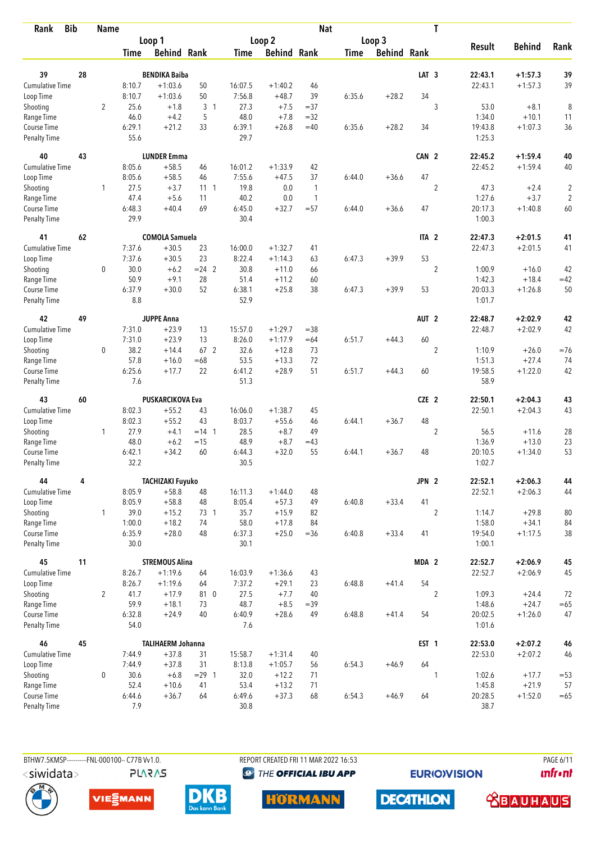| <b>Bib</b><br>Rank                 |    | <b>Name</b>    |                |                                     |                |                |                    | <b>Nat</b>   |             |                    |                  | T              |                    |                        |            |
|------------------------------------|----|----------------|----------------|-------------------------------------|----------------|----------------|--------------------|--------------|-------------|--------------------|------------------|----------------|--------------------|------------------------|------------|
|                                    |    |                |                | Loop 1                              |                |                | Loop 2             |              |             | Loop 3             |                  |                |                    |                        |            |
|                                    |    |                | Time           | <b>Behind Rank</b>                  |                | Time           | <b>Behind Rank</b> |              | <b>Time</b> | <b>Behind Rank</b> |                  |                | <b>Result</b>      | <b>Behind</b>          | Rank       |
| 39                                 | 28 |                |                | <b>BENDIKA Baiba</b>                |                |                |                    |              |             |                    | LAT <sub>3</sub> |                | 22:43.1            | $+1:57.3$              | 39         |
| <b>Cumulative Time</b>             |    |                | 8:10.7         | $+1:03.6$                           | 50             | 16:07.5        | $+1:40.2$          | 46           |             |                    |                  |                | 22:43.1            | $+1:57.3$              | 39         |
| Loop Time                          |    |                | 8:10.7         | $+1:03.6$                           | 50             | 7:56.8         | $+48.7$            | 39           | 6:35.6      | $+28.2$            | 34               |                |                    |                        |            |
| Shooting                           |    | $\overline{2}$ | 25.6           | $+1.8$                              | 3 <sub>1</sub> | 27.3           | $+7.5$             | $= 37$       |             |                    |                  | 3              | 53.0               | $+8.1$                 | 8          |
| Range Time                         |    |                | 46.0           | $+4.2$                              | 5              | 48.0           | $+7.8$             | $=32$        |             |                    |                  |                | 1:34.0             | $+10.1$                | 11         |
| Course Time                        |    |                | 6:29.1         | $+21.2$                             | 33             | 6:39.1         | $+26.8$            | $=40$        | 6:35.6      | $+28.2$            | 34               |                | 19:43.8            | $+1:07.3$              | 36         |
| <b>Penalty Time</b>                |    |                | 55.6           |                                     |                | 29.7           |                    |              |             |                    |                  |                | 1:25.3             |                        |            |
| 40                                 | 43 |                |                | <b>LUNDER Emma</b>                  |                |                |                    |              |             |                    | CAN 2            |                | 22:45.2            | $+1:59.4$              | 40         |
| Cumulative Time                    |    |                | 8:05.6         | $+58.5$                             | 46             | 16:01.2        | $+1:33.9$          | 42           |             |                    |                  |                | 22:45.2            | $+1:59.4$              | 40         |
| Loop Time                          |    |                | 8:05.6         | $+58.5$                             | 46             | 7:55.6         | $+47.5$            | 37           | 6:44.0      | $+36.6$            | 47               |                |                    |                        |            |
| Shooting                           |    | 1              | 27.5           | $+3.7$                              | $11 \quad 1$   | 19.8           | 0.0                | $\mathbf{1}$ |             |                    |                  | $\overline{2}$ | 47.3               | $+2.4$                 | $\sqrt{2}$ |
| Range Time                         |    |                | 47.4           | $+5.6$                              | 11             | 40.2           | 0.0                | $\mathbf{1}$ |             |                    |                  |                | 1:27.6             | $+3.7$                 | $\sqrt{2}$ |
| Course Time                        |    |                | 6:48.3         | $+40.4$                             | 69             | 6:45.0         | $+32.7$            | $= 57$       | 6:44.0      | $+36.6$            | 47               |                | 20:17.3            | $+1:40.8$              | 60         |
| Penalty Time                       |    |                | 29.9           |                                     |                | 30.4           |                    |              |             |                    |                  |                | 1:00.3             |                        |            |
| 41                                 | 62 |                |                | <b>COMOLA Samuela</b>               |                |                |                    |              |             |                    | ITA <sub>2</sub> |                | 22:47.3            | $+2:01.5$              | 41         |
| Cumulative Time                    |    |                | 7:37.6         | $+30.5$                             | 23             | 16:00.0        | $+1:32.7$          | 41           |             |                    |                  |                | 22:47.3            | $+2:01.5$              | 41         |
| Loop Time                          |    |                | 7:37.6         | $+30.5$                             | 23             | 8:22.4         | $+1:14.3$          | 63           | 6:47.3      | $+39.9$            | 53               |                |                    |                        |            |
| Shooting                           |    | 0              | 30.0           | $+6.2$                              | $= 24$ 2       | 30.8           | $+11.0$            | 66           |             |                    |                  | $\sqrt{2}$     | 1:00.9             | $+16.0$                | 42         |
| Range Time                         |    |                | 50.9           | $+9.1$                              | 28             | 51.4           | $+11.2$            | 60           |             |                    |                  |                | 1:42.3             | $+18.4$                | $=42$      |
| Course Time<br>Penalty Time        |    |                | 6:37.9<br>8.8  | $+30.0$                             | 52             | 6:38.1<br>52.9 | $+25.8$            | 38           | 6:47.3      | $+39.9$            | 53               |                | 20:03.3<br>1:01.7  | $+1:26.8$              | 50         |
|                                    |    |                |                |                                     |                |                |                    |              |             |                    |                  |                |                    |                        |            |
| 42                                 | 49 |                |                | <b>JUPPE Anna</b>                   |                |                |                    |              |             |                    | AUT <sub>2</sub> |                | 22:48.7            | $+2:02.9$              | 42         |
| <b>Cumulative Time</b>             |    |                | 7:31.0         | $+23.9$                             | 13             | 15:57.0        | $+1:29.7$          | $= 38$       |             |                    |                  |                | 22:48.7            | $+2:02.9$              | 42         |
| Loop Time                          |    |                | 7:31.0         | $+23.9$                             | 13             | 8:26.0         | $+1:17.9$          | $=64$        | 6:51.7      | $+44.3$            | 60               |                |                    |                        |            |
| Shooting                           |    | 0              | 38.2           | $+14.4$                             | 67 2           | 32.6           | $+12.8$            | 73           |             |                    |                  | $\overline{2}$ | 1:10.9             | $+26.0$                | $= 76$     |
| Range Time                         |    |                | 57.8           | $+16.0$                             | $=68$          | 53.5           | $+13.3$            | 72           |             |                    |                  |                | 1:51.3             | $+27.4$                | 74         |
| Course Time<br><b>Penalty Time</b> |    |                | 6:25.6<br>7.6  | $+17.7$                             | 22             | 6:41.2<br>51.3 | $+28.9$            | 51           | 6:51.7      | $+44.3$            | 60               |                | 19:58.5<br>58.9    | $+1:22.0$              | 42         |
| 43                                 | 60 |                |                | <b>PUSKARCIKOVA Eva</b>             |                |                |                    |              |             |                    | CZE 2            |                | 22:50.1            | $+2:04.3$              | 43         |
| Cumulative Time                    |    |                | 8:02.3         | $+55.2$                             | 43             | 16:06.0        | $+1:38.7$          | 45           |             |                    |                  |                | 22:50.1            | $+2:04.3$              | 43         |
| Loop Time                          |    |                | 8:02.3         | $+55.2$                             | 43             | 8:03.7         | $+55.6$            | 46           | 6:44.1      | $+36.7$            | 48               |                |                    |                        |            |
| Shooting                           |    | 1              | 27.9           | $+4.1$                              | $= 14 \quad 1$ | 28.5           | $+8.7$             | 49           |             |                    |                  | $\overline{2}$ | 56.5               | $+11.6$                | 28         |
| Range Time                         |    |                | 48.0           | $+6.2$                              | $=15$          | 48.9           | $+8.7$             | $=43$        |             |                    |                  |                | 1:36.9             | $+13.0$                | 23         |
| Course Time                        |    |                | 6:42.1         | $+34.2$                             | 60             | 6:44.3         | $+32.0$            | 55           | 6:44.1      | $+36.7$            | 48               |                | 20:10.5            | $+1:34.0$              | 53         |
| <b>Penalty Time</b>                |    |                | 32.2           |                                     |                | 30.5           |                    |              |             |                    |                  |                | 1:02.7             |                        |            |
| 44                                 | 4  |                |                | <b>TACHIZAKI Fuyuko</b>             |                |                |                    |              |             |                    | JPN 2            |                | 22:52.1            | $+2:06.3$              | 44         |
| <b>Cumulative Time</b>             |    |                | 8:05.9         | $+58.8$                             | 48             | 16:11.3        | $+1:44.0$          | 48           |             |                    |                  |                | 22:52.1            | $+2:06.3$              | 44         |
| Loop Time                          |    |                | 8:05.9         | $+58.8$                             | 48             | 8:05.4         | $+57.3$            | 49           | 6:40.8      | $+33.4$            | 41               |                |                    |                        |            |
| Shooting                           |    | $\mathbf{1}$   | 39.0           | $+15.2$                             | 73 1           | 35.7           | $+15.9$            | 82           |             |                    |                  | $\overline{2}$ | 1:14.7             | $+29.8$                | 80         |
| Range Time                         |    |                | 1:00.0         | $+18.2$                             | 74             | 58.0           | $+17.8$            | 84           |             |                    |                  |                | 1:58.0             | $+34.1$                | 84         |
| Course Time                        |    |                | 6:35.9         | $+28.0$                             | 48             | 6:37.3         | $+25.0$            | $= 36$       | 6:40.8      | $+33.4$            | 41               |                | 19:54.0            | $+1:17.5$              | 38         |
| Penalty Time                       |    |                | 30.0           |                                     |                | 30.1           |                    |              |             |                    |                  |                | 1:00.1             |                        |            |
| 45                                 | 11 |                |                | <b>STREMOUS Alina</b>               |                |                |                    |              |             |                    | MDA 2            |                | 22:52.7            | $+2:06.9$              | 45         |
| <b>Cumulative Time</b>             |    |                | 8:26.7         | $+1:19.6$                           | 64             | 16:03.9        | $+1:36.6$          | 43           |             |                    |                  |                | 22:52.7            | $+2:06.9$              | 45         |
| Loop Time                          |    |                | 8:26.7         | $+1:19.6$                           | 64             | 7:37.2         | $+29.1$            | 23           | 6:48.8      | $+41.4$            | 54               |                |                    |                        |            |
| Shooting                           |    | $\overline{2}$ | 41.7           | $+17.9$                             | 81 0           | 27.5           | $+7.7$             | 40           |             |                    |                  | $\overline{2}$ | 1:09.3             | $+24.4$                | 72         |
| Range Time                         |    |                | 59.9           | $+18.1$                             | 73             | 48.7           | $+8.5$             | $=39$        |             |                    |                  |                | 1:48.6             | $+24.7$                | $= 65$     |
| Course Time<br>Penalty Time        |    |                | 6:32.8<br>54.0 | $+24.9$                             | 40             | 6:40.9<br>7.6  | $+28.6$            | 49           | 6:48.8      | $+41.4$            | 54               |                | 20:02.5<br>1:01.6  | $+1:26.0$              | 47         |
|                                    |    |                |                |                                     |                |                |                    |              |             |                    |                  |                |                    |                        |            |
| 46<br>Cumulative Time              | 45 |                | 7:44.9         | <b>TALIHAERM Johanna</b><br>$+37.8$ | 31             | 15:58.7        | $+1:31.4$          | 40           |             |                    | EST <sub>1</sub> |                | 22:53.0<br>22:53.0 | $+2:07.2$<br>$+2:07.2$ | 46<br>46   |
| Loop Time                          |    |                | 7:44.9         | $+37.8$                             | 31             | 8:13.8         | $+1:05.7$          | 56           | 6:54.3      | $+46.9$            | 64               |                |                    |                        |            |
| Shooting                           |    | $\mathbf 0$    | 30.6           | $+6.8$                              | $= 29$ 1       | 32.0           | $+12.2$            | 71           |             |                    |                  | 1              | 1:02.6             | $+17.7$                | $= 53$     |
| Range Time                         |    |                | 52.4           | $+10.6$                             | 41             | 53.4           | $+13.2$            | 71           |             |                    |                  |                | 1:45.8             | $+21.9$                | 57         |
| Course Time                        |    |                | 6:44.6         | $+36.7$                             | 64             | 6:49.6         | $+37.3$            | 68           | 6:54.3      | $+46.9$            | 64               |                | 20:28.5            | $+1:52.0$              | $=65$      |
| <b>Penalty Time</b>                |    |                | 7.9            |                                     |                | $30.8\,$       |                    |              |             |                    |                  |                | 38.7               |                        |            |



**PLARAS** 

BTHW7.5KMSP----------FNL-000100-- C77B Vv1.0. REPORT CREATED FRI 11 MAR 2022 16:53 PAGE 6/11 <sup><sup>9</sup> THE OFFICIAL IBU APP</sup>

**EURIOVISION** 

*<u><u>Infront</u>*</u>









**DECATHLON** 

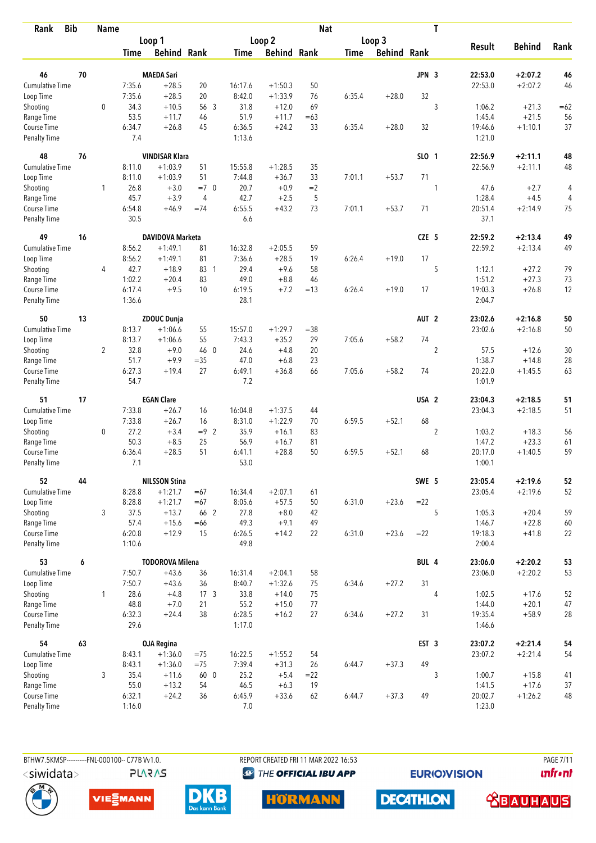| <b>Bib</b><br>Rank          |    | <b>Name</b> |                  |                         |                 |                |                    | <b>Nat</b> |             |                    |                  | T              |                   |               |       |
|-----------------------------|----|-------------|------------------|-------------------------|-----------------|----------------|--------------------|------------|-------------|--------------------|------------------|----------------|-------------------|---------------|-------|
|                             |    |             |                  | Loop 1                  |                 |                | Loop 2             |            |             | Loop 3             |                  |                |                   |               |       |
|                             |    |             | Time             | <b>Behind Rank</b>      |                 | Time           | <b>Behind Rank</b> |            | <b>Time</b> | <b>Behind Rank</b> |                  |                | <b>Result</b>     | <b>Behind</b> | Rank  |
| 46                          | 70 |             |                  | <b>MAEDA Sari</b>       |                 |                |                    |            |             |                    | JPN 3            |                | 22:53.0           | $+2:07.2$     | 46    |
| <b>Cumulative Time</b>      |    |             | 7:35.6           | $+28.5$                 | 20              | 16:17.6        | $+1:50.3$          | 50         |             |                    |                  |                | 22:53.0           | $+2:07.2$     | 46    |
| Loop Time                   |    |             | 7:35.6           | $+28.5$                 | 20              | 8:42.0         | $+1:33.9$          | 76         | 6:35.4      | $+28.0$            | 32               |                |                   |               |       |
| Shooting                    |    | $\mathbf 0$ | 34.3             | $+10.5$                 | 56 3            | 31.8           | $+12.0$            | 69         |             |                    |                  | 3              | 1:06.2            | $+21.3$       | $=62$ |
| Range Time                  |    |             | 53.5             | $+11.7$                 | 46              | 51.9           | $+11.7$            | $=63$      |             |                    |                  |                | 1:45.4            | $+21.5$       | 56    |
| Course Time                 |    |             | 6:34.7           | $+26.8$                 | 45              | 6:36.5         | $+24.2$            | 33         | 6:35.4      | $+28.0$            | 32               |                | 19:46.6           | $+1:10.1$     | 37    |
| <b>Penalty Time</b>         |    |             | 7.4              |                         |                 | 1:13.6         |                    |            |             |                    |                  |                | 1:21.0            |               |       |
| 48                          | 76 |             |                  | <b>VINDISAR Klara</b>   |                 |                |                    |            |             |                    | SLO 1            |                | 22:56.9           | $+2:11.1$     | 48    |
| Cumulative Time             |    |             | 8:11.0           | $+1:03.9$               | 51              | 15:55.8        | $+1:28.5$          | 35         |             |                    |                  |                | 22:56.9           | $+2:11.1$     | 48    |
| Loop Time                   |    |             | 8:11.0           | $+1:03.9$               | 51              | 7:44.8         | $+36.7$            | 33         | 7:01.1      | $+53.7$            | 71               |                |                   |               |       |
| Shooting                    |    | 1           | 26.8             | $+3.0$                  | $=7$ 0          | 20.7           | $+0.9$             | $=2$       |             |                    |                  | 1              | 47.6              | $+2.7$        | 4     |
| Range Time                  |    |             | 45.7             | $+3.9$                  | $\overline{4}$  | 42.7           | $+2.5$             | 5          |             |                    |                  |                | 1:28.4            | $+4.5$        | 4     |
| Course Time                 |    |             | 6:54.8           | $+46.9$                 | $=74$           | 6:55.5         | $+43.2$            | 73         | 7:01.1      | $+53.7$            | 71               |                | 20:51.4           | $+2:14.9$     | 75    |
| Penalty Time                |    |             | 30.5             |                         |                 | 6.6            |                    |            |             |                    |                  |                | 37.1              |               |       |
| 49                          | 16 |             |                  | <b>DAVIDOVA Marketa</b> |                 |                |                    |            |             |                    | CZE 5            |                | 22:59.2           | $+2:13.4$     | 49    |
| Cumulative Time             |    |             | 8:56.2           | $+1:49.1$               | 81              | 16:32.8        | $+2:05.5$          | 59         |             |                    |                  |                | 22:59.2           | $+2:13.4$     | 49    |
| Loop Time                   |    |             | 8:56.2           | $+1:49.1$               | 81              | 7:36.6         | $+28.5$            | 19         | 6:26.4      | $+19.0$            | 17               |                |                   |               |       |
| Shooting                    |    | 4           | 42.7             | $+18.9$                 | 83 1            | 29.4           | $+9.6$             | 58         |             |                    |                  | 5              | 1:12.1            | $+27.2$       | 79    |
| Range Time                  |    |             | 1:02.2           | $+20.4$                 | 83              | 49.0           | $+8.8$             | 46         |             |                    |                  |                | 1:51.2            | $+27.3$       | 73    |
| Course Time                 |    |             | 6:17.4           | $+9.5$                  | 10              | 6:19.5         | $+7.2$             | $=13$      | 6:26.4      | $+19.0$            | 17               |                | 19:03.3           | $+26.8$       | 12    |
| <b>Penalty Time</b>         |    |             | 1:36.6           |                         |                 | 28.1           |                    |            |             |                    |                  |                | 2:04.7            |               |       |
| 50                          | 13 |             |                  | <b>ZDOUC Dunja</b>      |                 |                |                    |            |             |                    | AUT <sub>2</sub> |                | 23:02.6           | $+2:16.8$     | 50    |
| <b>Cumulative Time</b>      |    |             | 8:13.7           | $+1:06.6$               | 55              | 15:57.0        | $+1:29.7$          | $= 38$     |             |                    |                  |                | 23:02.6           | $+2:16.8$     | 50    |
| Loop Time                   |    |             | 8:13.7           | $+1:06.6$               | 55              | 7:43.3         | $+35.2$            | 29         | 7:05.6      | $+58.2$            | 74               |                |                   |               |       |
| Shooting                    |    | 2           | 32.8             | $+9.0$                  | 46 0            | 24.6           | $+4.8$             | 20         |             |                    |                  | $\overline{2}$ | 57.5              | $+12.6$       | 30    |
| Range Time                  |    |             | 51.7             | $+9.9$                  | $= 35$          | 47.0           | $+6.8$             | 23         |             |                    |                  |                | 1:38.7            | $+14.8$       | 28    |
| Course Time                 |    |             | 6:27.3           | $+19.4$                 | 27              | 6:49.1         | $+36.8$            | 66         | 7:05.6      | $+58.2$            | 74               |                | 20:22.0           | $+1:45.5$     | 63    |
| <b>Penalty Time</b>         |    |             | 54.7             |                         |                 | 7.2            |                    |            |             |                    |                  |                | 1:01.9            |               |       |
| 51                          | 17 |             |                  | <b>EGAN Clare</b>       |                 |                |                    |            |             |                    | USA <sub>2</sub> |                | 23:04.3           | $+2:18.5$     | 51    |
| Cumulative Time             |    |             | 7:33.8           | $+26.7$                 | 16              | 16:04.8        | $+1:37.5$          | 44         |             |                    |                  |                | 23:04.3           | $+2:18.5$     | 51    |
| Loop Time                   |    |             | 7:33.8           | $+26.7$                 | 16              | 8:31.0         | $+1:22.9$          | 70         | 6:59.5      | $+52.1$            | 68               |                |                   |               |       |
| Shooting                    |    | 0           | 27.2             | $+3.4$                  | $= 9$ 2         | 35.9           | $+16.1$            | 83         |             |                    |                  | $\overline{2}$ | 1:03.2            | $+18.3$       | 56    |
| Range Time                  |    |             | 50.3             | $+8.5$                  | 25              | 56.9           | $+16.7$            | 81         |             |                    |                  |                | 1:47.2            | $+23.3$       | 61    |
| Course Time                 |    |             | 6:36.4           | $+28.5$                 | 51              | 6:41.1         | $+28.8$            | 50         | 6:59.5      | $+52.1$            | 68               |                | 20:17.0           | $+1:40.5$     | 59    |
| <b>Penalty Time</b>         |    |             | 7.1              |                         |                 | 53.0           |                    |            |             |                    |                  |                | 1:00.1            |               |       |
| 52                          | 44 |             |                  | <b>NILSSON Stina</b>    |                 |                |                    |            |             |                    | SWE 5            |                | 23:05.4           | $+2:19.6$     | 52    |
| Cumulative Time             |    |             | 8:28.8           | $+1:21.7$               | $=67$           | 16:34.4        | $+2:07.1$          | 61         |             |                    |                  |                | 23:05.4           | $+2:19.6$     | 52    |
| Loop Time                   |    |             | 8:28.8           | $+1:21.7$               | $=67$           | 8:05.6         | $+57.5$            | 50         | 6:31.0      | $+23.6$            | $= 22$           |                |                   |               |       |
| Shooting                    |    | 3           | 37.5             | $+13.7$                 | 66 2            | 27.8           | $+8.0$             | 42         |             |                    |                  | 5              | 1:05.3            | $+20.4$       | 59    |
| Range Time                  |    |             | 57.4             | $+15.6$                 | $=66$           | 49.3           | $+9.1$             | 49         |             |                    |                  |                | 1:46.7            | $+22.8$       | 60    |
| Course Time<br>Penalty Time |    |             | 6:20.8<br>1:10.6 | $+12.9$                 | 15              | 6:26.5<br>49.8 | $+14.2$            | 22         | 6:31.0      | $+23.6$            | $=22$            |                | 19:18.3<br>2:00.4 | $+41.8$       | 22    |
| 53                          | 6  |             |                  | <b>TODOROVA Milena</b>  |                 |                |                    |            |             |                    | BUL 4            |                | 23:06.0           | $+2:20.2$     | 53    |
| Cumulative Time             |    |             | 7:50.7           | $+43.6$                 | 36              | 16:31.4        | $+2:04.1$          | 58         |             |                    |                  |                | 23:06.0           | $+2:20.2$     | 53    |
| Loop Time                   |    |             | 7:50.7           | $+43.6$                 | 36              | 8:40.7         | $+1:32.6$          | 75         | 6:34.6      | $+27.2$            | 31               |                |                   |               |       |
| Shooting                    |    | 1           | 28.6             | $+4.8$                  | 17 <sub>3</sub> | 33.8           | $+14.0$            | 75         |             |                    |                  | 4              | 1:02.5            | $+17.6$       | 52    |
| Range Time                  |    |             | 48.8             | $+7.0$                  | 21              | 55.2           | $+15.0$            | 77         |             |                    |                  |                | 1:44.0            | $+20.1$       | 47    |
| Course Time                 |    |             | 6:32.3           | $+24.4$                 | 38              | 6:28.5         | $+16.2$            | 27         | 6:34.6      | $+27.2$            | 31               |                | 19:35.4           | $+58.9$       | 28    |
| Penalty Time                |    |             | 29.6             |                         |                 | 1:17.0         |                    |            |             |                    |                  |                | 1:46.6            |               |       |
| 54                          | 63 |             |                  | <b>OJA Regina</b>       |                 |                |                    |            |             |                    | EST <sub>3</sub> |                | 23:07.2           | $+2:21.4$     | 54    |
| Cumulative Time             |    |             | 8:43.1           | $+1:36.0$               | $= 75$          | 16:22.5        | $+1:55.2$          | 54         |             |                    |                  |                | 23:07.2           | $+2:21.4$     | 54    |
| Loop Time                   |    |             | 8:43.1           | $+1:36.0$               | $=75$           | 7:39.4         | $+31.3$            | 26         | 6:44.7      | $+37.3$            | 49               |                |                   |               |       |
| Shooting                    |    | 3           | 35.4             | $+11.6$                 | 60 0            | 25.2           | $+5.4$             | $= 22$     |             |                    |                  | 3              | 1:00.7            | $+15.8$       | 41    |
| Range Time                  |    |             | 55.0             | $+13.2$                 | 54              | 46.5           | $+6.3$             | 19         |             |                    |                  |                | 1:41.5            | $+17.6$       | 37    |
| Course Time                 |    |             | 6:32.1           | $+24.2$                 | 36              | 6:45.9         | $+33.6$            | 62         | 6:44.7      | $+37.3$            | 49               |                | 20:02.7           | $+1:26.2$     | 48    |
| <b>Penalty Time</b>         |    |             | 1:16.0           |                         |                 | $7.0$          |                    |            |             |                    |                  |                | 1:23.0            |               |       |

BTHW7.5KMSP-----------FNL-000100-- C77B Vv1.0.

**PLARAS** 

REPORT CREATED FRI 11 MAR 2022 16:53 <sup><sup>9</sup> THE OFFICIAL IBU APP</sup>

**EURIOVISION** 

**PAGE 7/11** *<u><u>Infront</u>*</u>











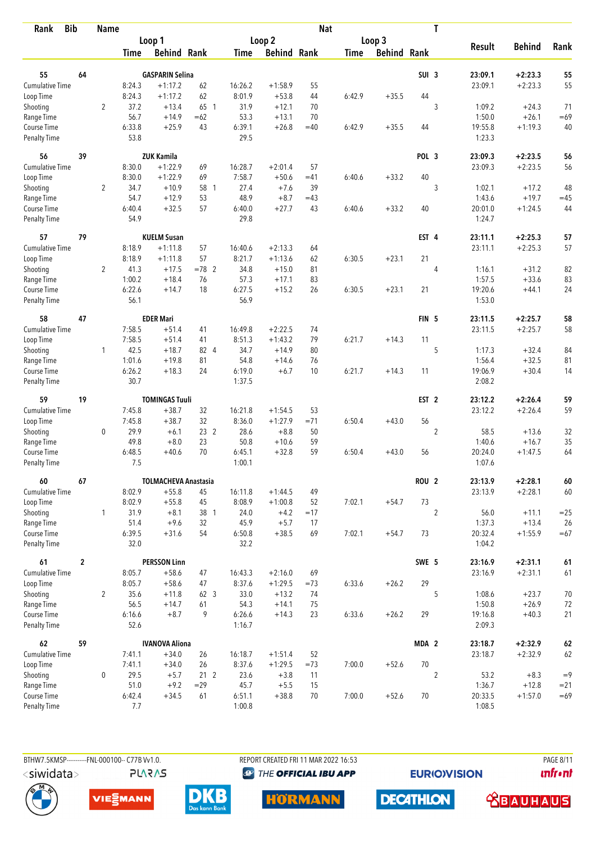| Rank                               | <b>Bib</b>     | <b>Name</b>    |                |                             |                          |                |                    | <b>Nat</b>  |             |                    |                  | T              |                   |                    |                |
|------------------------------------|----------------|----------------|----------------|-----------------------------|--------------------------|----------------|--------------------|-------------|-------------|--------------------|------------------|----------------|-------------------|--------------------|----------------|
|                                    |                |                |                | Loop 1                      |                          |                | Loop <sub>2</sub>  |             |             | Loop 3             |                  |                |                   |                    |                |
|                                    |                |                | <b>Time</b>    | <b>Behind Rank</b>          |                          | <b>Time</b>    | <b>Behind Rank</b> |             | <b>Time</b> | <b>Behind Rank</b> |                  |                | <b>Result</b>     | <b>Behind</b>      | Rank           |
| 55                                 | 64             |                |                | <b>GASPARIN Selina</b>      |                          |                |                    |             |             |                    | SUI <sub>3</sub> |                | 23:09.1           | $+2:23.3$          | 55             |
| <b>Cumulative Time</b>             |                |                | 8:24.3         | $+1:17.2$                   | 62                       | 16:26.2        | $+1:58.9$          | 55          |             |                    |                  |                | 23:09.1           | $+2:23.3$          | 55             |
|                                    |                |                | 8:24.3         | $+1:17.2$                   | 62                       | 8:01.9         | $+53.8$            | 44          | 6:42.9      | $+35.5$            | 44               |                |                   |                    |                |
| Loop Time<br>Shooting              |                | $\overline{2}$ | 37.2           | $+13.4$                     | 65 1                     | 31.9           | $+12.1$            | 70          |             |                    |                  | 3              | 1:09.2            | $+24.3$            | 71             |
| Range Time                         |                |                | 56.7           | $+14.9$                     | $=62$                    | 53.3           | $+13.1$            | 70          |             |                    |                  |                | 1:50.0            | $+26.1$            | $=69$          |
| Course Time                        |                |                | 6:33.8         | $+25.9$                     | 43                       | 6:39.1         | $+26.8$            | $=40$       | 6:42.9      | $+35.5$            | 44               |                | 19:55.8           | $+1:19.3$          | 40             |
| Penalty Time                       |                |                | 53.8           |                             |                          | 29.5           |                    |             |             |                    |                  |                | 1:23.3            |                    |                |
| 56                                 | 39             |                |                | <b>ZUK Kamila</b>           |                          |                |                    |             |             |                    | POL <sub>3</sub> |                | 23:09.3           | $+2:23.5$          | 56             |
| Cumulative Time                    |                |                | 8:30.0         | $+1:22.9$                   | 69                       | 16:28.7        | $+2:01.4$          | 57          |             |                    |                  |                | 23:09.3           | $+2:23.5$          | 56             |
| Loop Time                          |                |                | 8:30.0         | $+1:22.9$                   | 69                       | 7:58.7         | $+50.6$            | $=41$       | 6:40.6      | $+33.2$            | 40               |                |                   |                    |                |
| Shooting                           |                | $\overline{2}$ | 34.7           | $+10.9$                     | 58 1                     | 27.4           | $+7.6$             | 39          |             |                    |                  | 3              | 1:02.1            | $+17.2$            | 48             |
| Range Time                         |                |                | 54.7           | $+12.9$                     | 53                       | 48.9           | $+8.7$             | $=43$       |             |                    |                  |                | 1:43.6            | $+19.7$            | $=45$          |
| Course Time                        |                |                | 6:40.4         | $+32.5$                     | 57                       | 6:40.0         | $+27.7$            | 43          | 6:40.6      | $+33.2$            | 40               |                | 20:01.0           | $+1:24.5$          | 44             |
| <b>Penalty Time</b>                |                |                | 54.9           |                             |                          | 29.8           |                    |             |             |                    |                  |                | 1:24.7            |                    |                |
| 57                                 | 79             |                |                | <b>KUELM Susan</b>          |                          |                |                    |             |             |                    | EST 4            |                | 23:11.1           | $+2:25.3$          | 57             |
| Cumulative Time                    |                |                | 8:18.9         | $+1:11.8$                   | 57                       | 16:40.6        | $+2:13.3$          | 64          |             |                    |                  |                | 23:11.1           | $+2:25.3$          | 57             |
| Loop Time                          |                |                | 8:18.9         | $+1:11.8$                   | 57                       | 8:21.7         | $+1:13.6$          | 62          | 6:30.5      | $+23.1$            | 21               |                |                   |                    |                |
| Shooting                           |                | $\overline{2}$ | 41.3           | $+17.5$                     | $=78$ 2                  | 34.8           | $+15.0$            | 81          |             |                    |                  | 4              | 1:16.1            | $+31.2$            | 82             |
| Range Time                         |                |                | 1:00.2         | $+18.4$                     | 76<br>18                 | 57.3           | $+17.1$<br>$+15.2$ | 83<br>26    |             | $+23.1$            | 21               |                | 1:57.5            | $+33.6$            | 83             |
| Course Time<br><b>Penalty Time</b> |                |                | 6:22.6<br>56.1 | $+14.7$                     |                          | 6:27.5<br>56.9 |                    |             | 6:30.5      |                    |                  |                | 19:20.6<br>1:53.0 | $+44.1$            | 24             |
| 58                                 | 47             |                |                | <b>EDER Mari</b>            |                          |                |                    |             |             |                    | FIN <sub>5</sub> |                | 23:11.5           | $+2:25.7$          | 58             |
| Cumulative Time                    |                |                | 7:58.5         | $+51.4$                     | 41                       | 16:49.8        | $+2:22.5$          | 74          |             |                    |                  |                | 23:11.5           | $+2:25.7$          | 58             |
| Loop Time                          |                |                | 7:58.5         | $+51.4$                     | 41                       | 8:51.3         | $+1:43.2$          | 79          | 6:21.7      | $+14.3$            | 11               |                |                   |                    |                |
| Shooting                           |                | $\mathbf{1}$   | 42.5           | $+18.7$                     | 82 4                     | 34.7           | $+14.9$            | 80          |             |                    |                  | 5              | 1:17.3            | $+32.4$            | 84             |
| Range Time                         |                |                | 1:01.6         | $+19.8$                     | 81                       | 54.8           | $+14.6$            | 76          |             |                    |                  |                | 1:56.4            | $+32.5$            | 81             |
| Course Time                        |                |                | 6:26.2         | $+18.3$                     | 24                       | 6:19.0         | $+6.7$             | 10          | 6:21.7      | $+14.3$            | 11               |                | 19:06.9           | $+30.4$            | 14             |
| <b>Penalty Time</b>                |                |                | 30.7           |                             |                          | 1:37.5         |                    |             |             |                    |                  |                | 2:08.2            |                    |                |
| 59                                 | 19             |                |                | <b>TOMINGAS Tuuli</b>       |                          |                |                    |             |             |                    | EST <sub>2</sub> |                | 23:12.2           | $+2:26.4$          | 59             |
| Cumulative Time                    |                |                | 7:45.8         | $+38.7$                     | 32                       | 16:21.8        | $+1:54.5$          | 53          |             |                    |                  |                | 23:12.2           | $+2:26.4$          | 59             |
| Loop Time                          |                |                | 7:45.8         | $+38.7$                     | 32                       | 8:36.0         | $+1:27.9$          | $= 71$      | 6:50.4      | $+43.0$            | 56               |                |                   |                    |                |
| Shooting                           |                | $\mathbf 0$    | 29.9           | $+6.1$                      | 23 <sub>2</sub>          | 28.6           | $+8.8$             | 50          |             |                    |                  | $\overline{2}$ | 58.5              | $+13.6$            | 32             |
| Range Time                         |                |                | 49.8           | $+8.0$                      | 23                       | 50.8           | $+10.6$            | 59          |             |                    |                  |                | 1:40.6            | $+16.7$            | 35             |
| Course Time                        |                |                | 6:48.5         | $+40.6$                     | 70                       | 6:45.1         | $+32.8$            | 59          | 6:50.4      | $+43.0$            | 56               |                | 20:24.0           | $+1:47.5$          | 64             |
| <b>Penalty Time</b>                |                |                | 7.5            |                             |                          | 1:00.1         |                    |             |             |                    |                  |                | 1:07.6            |                    |                |
| 60                                 | 67             |                |                | <b>TOLMACHEVA Anastasia</b> |                          |                |                    |             |             |                    | ROU <sub>2</sub> |                | 23:13.9           | $+2:28.1$          | 60             |
| <b>Cumulative Time</b>             |                |                | 8:02.9         | $+55.8$                     | 45                       | 16:11.8        | $+1:44.5$          | 49          |             |                    |                  |                | 23:13.9           | $+2:28.1$          | 60             |
| Loop Time                          |                |                | 8:02.9<br>31.9 | $+55.8$<br>$+8.1$           | 45<br>38 1               | 8:08.9         | $+1:00.8$          | 52          | 7:02.1      | $+54.7$            | 73               | $\overline{2}$ | 56.0              |                    |                |
| Shooting<br>Range Time             |                | $\mathbf{1}$   | 51.4           | $+9.6$                      | 32                       | 24.0<br>45.9   | $+4.2$<br>$+5.7$   | $=17$<br>17 |             |                    |                  |                | 1:37.3            | $+11.1$<br>$+13.4$ | $=25$<br>26    |
| Course Time                        |                |                | 6:39.5         | $+31.6$                     | 54                       | 6:50.8         | $+38.5$            | 69          | 7:02.1      | $+54.7$            | 73               |                | 20:32.4           | $+1:55.9$          | $=67$          |
| Penalty Time                       |                |                | 32.0           |                             |                          | 32.2           |                    |             |             |                    |                  |                | 1:04.2            |                    |                |
| 61                                 | $\overline{2}$ |                |                | <b>PERSSON Linn</b>         |                          |                |                    |             |             |                    | SWE 5            |                | 23:16.9           | $+2:31.1$          | $61\,$         |
| <b>Cumulative Time</b>             |                |                | 8:05.7         | $+58.6$                     | 47                       | 16:43.3        | $+2:16.0$          | 69          |             |                    |                  |                | 23:16.9           | $+2:31.1$          | 61             |
| Loop Time                          |                |                | 8:05.7         | $+58.6$                     | 47                       | 8:37.6         | $+1:29.5$          | $=73$       | 6:33.6      | $+26.2$            | 29               |                |                   |                    |                |
| Shooting                           |                | $\overline{2}$ | 35.6           | $+11.8$                     | 62 3                     | 33.0           | $+13.2$            | 74          |             |                    |                  | 5              | 1:08.6            | $+23.7$            | 70             |
| Range Time                         |                |                | 56.5           | $+14.7$                     | 61                       | 54.3           | $+14.1$            | 75          |             |                    |                  |                | 1:50.8            | $+26.9$            | 72             |
| Course Time                        |                |                | 6:16.6         | $+8.7$                      | 9                        | 6:26.6         | $+14.3$            | 23          | 6:33.6      | $+26.2$            | 29               |                | 19:16.8           | $+40.3$            | 21             |
| Penalty Time                       |                |                | 52.6           |                             |                          | 1:16.7         |                    |             |             |                    |                  |                | 2:09.3            |                    |                |
| 62                                 | 59             |                |                | <b>IVANOVA Aliona</b>       |                          |                |                    |             |             |                    | MDA 2            |                | 23:18.7           | $+2:32.9$          | 62             |
| <b>Cumulative Time</b>             |                |                | 7:41.1         | $+34.0$                     | 26                       | 16:18.7        | $+1:51.4$          | 52          |             |                    |                  |                | 23:18.7           | $+2:32.9$          | 62             |
| Loop Time                          |                |                | 7:41.1         | $+34.0$                     | 26                       | 8:37.6         | $+1:29.5$          | $=73$       | 7:00.0      | $+52.6$            | 70               |                |                   |                    |                |
| Shooting                           |                | $\mathbf 0$    | 29.5<br>51.0   | $+5.7$<br>$+9.2$            | 21 <sub>2</sub><br>$=29$ | 23.6<br>45.7   | $+3.8$<br>$+5.5$   | 11<br>15    |             |                    |                  | $\overline{2}$ | 53.2<br>1:36.7    | $+8.3$<br>$+12.8$  | $=9$<br>$= 21$ |
| Range Time<br>Course Time          |                |                | 6:42.4         | $+34.5$                     | 61                       | 6:51.1         | $+38.8$            | 70          | 7:00.0      | $+52.6$            | 70               |                | 20:33.5           | $+1:57.0$          | $=69$          |
| Penalty Time                       |                |                | 7.7            |                             |                          | 1:00.8         |                    |             |             |                    |                  |                | 1:08.5            |                    |                |
|                                    |                |                |                |                             |                          |                |                    |             |             |                    |                  |                |                   |                    |                |

BTHW7.5KMSP-----------FNL-000100-- C77B Vv1.0.

**PLARAS** 

REPORT CREATED FRI 11 MAR 2022 16:53 <sup><sup>9</sup> THE OFFICIAL IBU APP</sup>

**EURIOVISION** 

**DECATHLON** 

**PAGE 8/11** *<u><u>Infront</u>*</u>









 **<u>CBAUHAUS</u>**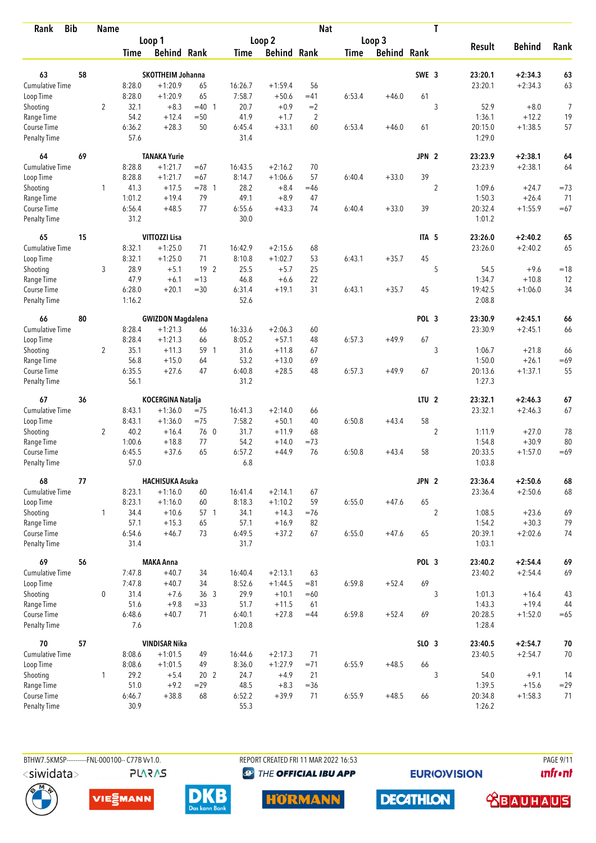| <b>Bib</b><br>Rank          |    | <b>Name</b>    |                |                          |                 |                |                    | <b>Nat</b>     |             |                    |                  | T              |                   |               |        |
|-----------------------------|----|----------------|----------------|--------------------------|-----------------|----------------|--------------------|----------------|-------------|--------------------|------------------|----------------|-------------------|---------------|--------|
|                             |    |                |                | Loop 1                   |                 |                | Loop <sub>2</sub>  |                |             | Loop 3             |                  |                |                   |               |        |
|                             |    |                | <b>Time</b>    | <b>Behind Rank</b>       |                 | Time           | <b>Behind Rank</b> |                | <b>Time</b> | <b>Behind Rank</b> |                  |                | <b>Result</b>     | <b>Behind</b> | Rank   |
| 63                          | 58 |                |                | <b>SKOTTHEIM Johanna</b> |                 |                |                    |                |             |                    | SWE 3            |                | 23:20.1           | $+2:34.3$     | 63     |
| Cumulative Time             |    |                | 8:28.0         | $+1:20.9$                | 65              | 16:26.7        | $+1:59.4$          | 56             |             |                    |                  |                | 23:20.1           | $+2:34.3$     | 63     |
| Loop Time                   |    |                | 8:28.0         | $+1:20.9$                | 65              | 7:58.7         | $+50.6$            | $=41$          | 6:53.4      | $+46.0$            | 61               |                |                   |               |        |
| Shooting                    |    | $\overline{2}$ | 32.1           | $+8.3$                   | $=40$ 1         | 20.7           | $+0.9$             | $=2$           |             |                    |                  | 3              | 52.9              | $+8.0$        | 7      |
| Range Time                  |    |                | 54.2           | $+12.4$                  | $=50$           | 41.9           | $+1.7$             | $\overline{2}$ |             |                    |                  |                | 1:36.1            | $+12.2$       | 19     |
| Course Time                 |    |                | 6:36.2         | $+28.3$                  | 50              | 6:45.4         | $+33.1$            | 60             | 6:53.4      | $+46.0$            | 61               |                | 20:15.0           | $+1:38.5$     | 57     |
| <b>Penalty Time</b>         |    |                | 57.6           |                          |                 | 31.4           |                    |                |             |                    |                  |                | 1:29.0            |               |        |
| 64                          | 69 |                |                | <b>TANAKA Yurie</b>      |                 |                |                    |                |             |                    | JPN <sub>2</sub> |                | 23:23.9           | $+2:38.1$     | 64     |
| <b>Cumulative Time</b>      |    |                | 8:28.8         | $+1:21.7$                | $=67$           | 16:43.5        | $+2:16.2$          | 70             |             |                    |                  |                | 23:23.9           | $+2:38.1$     | 64     |
| Loop Time                   |    |                | 8:28.8         | $+1:21.7$                | $=67$           | 8:14.7         | $+1:06.6$          | 57             | 6:40.4      | $+33.0$            | 39               |                |                   |               |        |
| Shooting                    |    | 1              | 41.3           | $+17.5$                  | $= 78$ 1        | 28.2           | $+8.4$             | $=46$          |             |                    |                  | $\overline{2}$ | 1:09.6            | $+24.7$       | $=73$  |
| Range Time                  |    |                | 1:01.2         | $+19.4$                  | 79              | 49.1           | $+8.9$             | 47             |             |                    |                  |                | 1:50.3            | $+26.4$       | 71     |
| Course Time                 |    |                | 6:56.4         | $+48.5$                  | 77              | 6:55.6         | $+43.3$            | 74             | 6:40.4      | $+33.0$            | 39               |                | 20:32.4           | $+1:55.9$     | $=67$  |
| <b>Penalty Time</b>         |    |                | 31.2           |                          |                 | 30.0           |                    |                |             |                    |                  |                | 1:01.2            |               |        |
| 65                          | 15 |                |                | VITTOZZI Lisa            |                 |                |                    |                |             |                    | ITA <sub>5</sub> |                | 23:26.0           | $+2:40.2$     | 65     |
| Cumulative Time             |    |                | 8:32.1         | $+1:25.0$                | 71              | 16:42.9        | $+2:15.6$          | 68             |             |                    |                  |                | 23:26.0           | $+2:40.2$     | 65     |
| Loop Time                   |    |                | 8:32.1         | $+1:25.0$                | 71              | 8:10.8         | $+1:02.7$          | 53             | 6:43.1      | $+35.7$            | 45               |                |                   |               |        |
| Shooting                    |    | 3              | 28.9           | $+5.1$                   | 19 2            | 25.5           | $+5.7$             | 25             |             |                    |                  | 5              | 54.5              | $+9.6$        | $=18$  |
| Range Time                  |    |                | 47.9           | $+6.1$                   | $=13$           | 46.8           | $+6.6$             | 22             |             |                    |                  |                | 1:34.7            | $+10.8$       | 12     |
| Course Time                 |    |                | 6:28.0         | $+20.1$                  | $=30$           | 6:31.4         | $+19.1$            | 31             | 6:43.1      | $+35.7$            | 45               |                | 19:42.5           | $+1:06.0$     | 34     |
| <b>Penalty Time</b>         |    |                | 1:16.2         |                          |                 | 52.6           |                    |                |             |                    |                  |                | 2:08.8            |               |        |
| 66                          | 80 |                |                | <b>GWIZDON Magdalena</b> |                 |                |                    |                |             |                    | POL <sub>3</sub> |                | 23:30.9           | $+2:45.1$     | 66     |
| Cumulative Time             |    |                | 8:28.4         | $+1:21.3$                | 66              | 16:33.6        | $+2:06.3$          | 60             |             |                    |                  |                | 23:30.9           | $+2:45.1$     | 66     |
| Loop Time                   |    |                | 8:28.4         | $+1:21.3$                | 66              | 8:05.2         | $+57.1$            | 48             | 6:57.3      | $+49.9$            | 67               |                |                   |               |        |
| Shooting                    |    | $\overline{2}$ | 35.1           | $+11.3$                  | 59 1            | 31.6           | $+11.8$            | 67             |             |                    |                  | 3              | 1:06.7            | $+21.8$       | 66     |
| Range Time                  |    |                | 56.8           | $+15.0$                  | 64              | 53.2           | $+13.0$            | 69             |             |                    |                  |                | 1:50.0            | $+26.1$       | $=69$  |
| Course Time                 |    |                | 6:35.5         | $+27.6$                  | 47              | 6:40.8         | $+28.5$            | 48             | 6:57.3      | $+49.9$            | 67               |                | 20:13.6           | $+1:37.1$     | 55     |
| <b>Penalty Time</b>         |    |                | 56.1           |                          |                 | 31.2           |                    |                |             |                    |                  |                | 1:27.3            |               |        |
| 67                          | 36 |                |                | KOCERGINA Natalja        |                 |                |                    |                |             |                    | LTU <sub>2</sub> |                | 23:32.1           | $+2:46.3$     | 67     |
| <b>Cumulative Time</b>      |    |                | 8:43.1         | $+1:36.0$                | $=75$           | 16:41.3        | $+2:14.0$          | 66             |             |                    |                  |                | 23:32.1           | $+2:46.3$     | 67     |
| Loop Time                   |    |                | 8:43.1         | $+1:36.0$                | $=75$           | 7:58.2         | $+50.1$            | 40             | 6:50.8      | $+43.4$            | 58               |                |                   |               |        |
| Shooting                    |    | $\overline{2}$ | 40.2           | $+16.4$                  | 76 0            | 31.7           | $+11.9$            | 68             |             |                    |                  | $\overline{2}$ | 1:11.9            | $+27.0$       | 78     |
| Range Time                  |    |                | 1:00.6         | $+18.8$                  | 77              | 54.2           | $+14.0$            | $=73$          |             |                    |                  |                | 1:54.8            | $+30.9$       | 80     |
| Course Time                 |    |                | 6:45.5         | $+37.6$                  | 65              | 6:57.2         | $+44.9$            | 76             | 6:50.8      | $+43.4$            | 58               |                | 20:33.5           | $+1:57.0$     | $=69$  |
| <b>Penalty Time</b>         |    |                | 57.0           |                          |                 | 6.8            |                    |                |             |                    |                  |                | 1:03.8            |               |        |
| 68                          | 77 |                |                | <b>HACHISUKA Asuka</b>   |                 |                |                    |                |             |                    | JPN 2            |                | 23:36.4           | $+2:50.6$     | 68     |
| <b>Cumulative Time</b>      |    |                | 8:23.1         | $+1:16.0$                | 60              | 16:41.4        | $+2:14.1$          | 67             |             |                    |                  |                | 23:36.4           | $+2:50.6$     | 68     |
| Loop Time                   |    |                | 8:23.1         | $+1:16.0$                | 60              | 8:18.3         | $+1:10.2$          | 59             | 6:55.0      | $+47.6$            | 65               |                |                   |               |        |
| Shooting                    |    | $\mathbf{1}$   | 34.4           | $+10.6$                  | 57 1            | 34.1           | $+14.3$            | $=76$          |             |                    |                  | $\overline{2}$ | 1:08.5            | $+23.6$       | 69     |
| Range Time                  |    |                | 57.1           | $+15.3$                  | 65              | 57.1           | $+16.9$            | 82             |             |                    |                  |                | 1:54.2            | $+30.3$       | 79     |
| Course Time<br>Penalty Time |    |                | 6:54.6<br>31.4 | $+46.7$                  | 73              | 6:49.5<br>31.7 | $+37.2$            | 67             | 6:55.0      | $+47.6$            | 65               |                | 20:39.1<br>1:03.1 | $+2:02.6$     | 74     |
| 69                          | 56 |                |                | <b>MAKA Anna</b>         |                 |                |                    |                |             |                    | POL 3            |                | 23:40.2           | $+2:54.4$     | 69     |
| <b>Cumulative Time</b>      |    |                | 7:47.8         | $+40.7$                  | 34              | 16:40.4        | $+2:13.1$          | 63             |             |                    |                  |                | 23:40.2           | $+2:54.4$     | 69     |
| Loop Time                   |    |                | 7:47.8         | $+40.7$                  | 34              | 8:52.6         | $+1:44.5$          | $= 81$         | 6:59.8      | $+52.4$            | 69               |                |                   |               |        |
| Shooting                    |    | 0              | 31.4           | $+7.6$                   | 36 <sub>3</sub> | 29.9           | $+10.1$            | $=60$          |             |                    |                  | 3              | 1:01.3            | $+16.4$       | 43     |
| Range Time                  |    |                | 51.6           | $+9.8$                   | $= 33$          | 51.7           | $+11.5$            | 61             |             |                    |                  |                | 1:43.3            | $+19.4$       | 44     |
| Course Time                 |    |                | 6:48.6         | $+40.7$                  | 71              | 6:40.1         | $+27.8$            | $=44$          | 6:59.8      | $+52.4$            | 69               |                | 20:28.5           | $+1:52.0$     | $=65$  |
| Penalty Time                |    |                | 7.6            |                          |                 | 1:20.8         |                    |                |             |                    |                  |                | 1:28.4            |               |        |
| 70                          | 57 |                |                | <b>VINDISAR Nika</b>     |                 |                |                    |                |             |                    | SLO 3            |                | 23:40.5           | $+2:54.7$     | $70\,$ |
| <b>Cumulative Time</b>      |    |                | 8:08.6         | $+1:01.5$                | 49              | 16:44.6        | $+2:17.3$          | 71             |             |                    |                  |                | 23:40.5           | $+2:54.7$     | 70     |
| Loop Time                   |    |                | 8:08.6         | $+1:01.5$                | 49              | 8:36.0         | $+1:27.9$          | $=71$          | 6:55.9      | $+48.5$            | 66               |                |                   |               |        |
| Shooting                    |    | 1              | 29.2           | $+5.4$                   | 20 <sub>2</sub> | 24.7           | $+4.9$             | 21             |             |                    |                  | 3              | 54.0              | $+9.1$        | 14     |
| Range Time                  |    |                | 51.0           | $+9.2$                   | $=29$           | 48.5           | $+8.3$             | $=36$          |             |                    |                  |                | 1:39.5            | $+15.6$       | $=29$  |
| Course Time                 |    |                | 6:46.7         | $+38.8$                  | 68              | 6:52.2         | $+39.9$            | 71             | 6:55.9      | $+48.5$            | 66               |                | 20:34.8           | $+1:58.3$     | 71     |
| Penalty Time                |    |                | 30.9           |                          |                 | 55.3           |                    |                |             |                    |                  |                | 1:26.2            |               |        |



**PLARAS** 

BTHW7.5KMSP----------FNL-000100-- C77B Vv1.0. REPORT CREATED FRI 11 MAR 2022 16:53 PAGE 9/11 <sup><sup>9</sup> THE OFFICIAL IBU APP</sup>

**EURIOVISION** 

*<u><u>Infront</u>*</u>











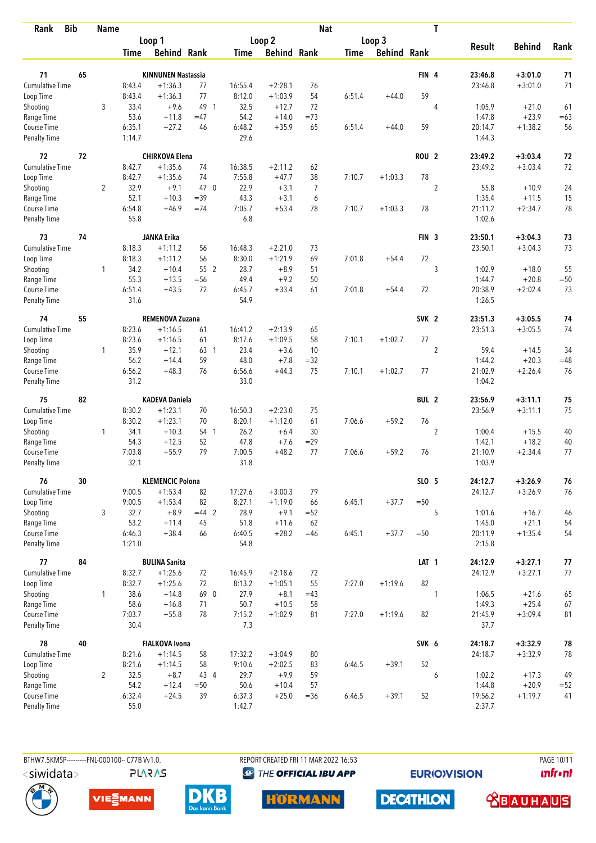| Rank                               | <b>Bib</b> | <b>Name</b>    |                |                           |         |                |                    | <b>Nat</b>     |             |             |                  | T              |                   |               |       |
|------------------------------------|------------|----------------|----------------|---------------------------|---------|----------------|--------------------|----------------|-------------|-------------|------------------|----------------|-------------------|---------------|-------|
|                                    |            |                |                | Loop 1                    |         |                | Loop 2             |                |             | Loop 3      |                  |                |                   |               |       |
|                                    |            |                | Time           | <b>Behind Rank</b>        |         | Time           | <b>Behind Rank</b> |                | <b>Time</b> | Behind Rank |                  |                | <b>Result</b>     | <b>Behind</b> | Rank  |
| 71                                 | 65         |                |                | <b>KINNUNEN Nastassia</b> |         |                |                    |                |             |             | FIN 4            |                | 23:46.8           | $+3:01.0$     | 71    |
| <b>Cumulative Time</b>             |            |                | 8:43.4         | $+1:36.3$                 | 77      | 16:55.4        | $+2:28.1$          | 76             |             |             |                  |                | 23:46.8           | $+3:01.0$     | 71    |
| Loop Time                          |            |                | 8:43.4         | $+1:36.3$                 | 77      | 8:12.0         | $+1:03.9$          | 54             | 6:51.4      | $+44.0$     | 59               |                |                   |               |       |
| Shooting                           |            | 3              | 33.4           | $+9.6$                    | 49 1    | 32.5           | $+12.7$            | 72             |             |             |                  | 4              | 1:05.9            | $+21.0$       | 61    |
| Range Time                         |            |                | 53.6           | $+11.8$                   | $=47$   | 54.2           | $+14.0$            | $=73$          |             |             |                  |                | 1:47.8            | $+23.9$       | $=63$ |
| Course Time                        |            |                | 6:35.1         | $+27.2$                   | 46      | 6:48.2         | $+35.9$            | 65             | 6:51.4      | $+44.0$     | 59               |                | 20:14.7           | $+1:38.2$     | 56    |
| <b>Penalty Time</b>                |            |                | 1:14.7         |                           |         | 29.6           |                    |                |             |             |                  |                | 1:44.3            |               |       |
| 72                                 | 72         |                |                | <b>CHIRKOVA Elena</b>     |         |                |                    |                |             |             | ROU <sub>2</sub> |                | 23:49.2           | $+3:03.4$     | 72    |
| Cumulative Time                    |            |                | 8:42.7         | $+1:35.6$                 | 74      | 16:38.5        | $+2:11.2$          | 62             |             |             |                  |                | 23:49.2           | $+3:03.4$     | 72    |
| Loop Time                          |            |                | 8:42.7         | $+1:35.6$                 | 74      | 7:55.8         | $+47.7$            | 38             | 7:10.7      | $+1:03.3$   | 78               |                |                   |               |       |
| Shooting                           |            | $\overline{2}$ | 32.9           | $+9.1$                    | 47 0    | 22.9           | $+3.1$             | $\overline{7}$ |             |             |                  | $\overline{2}$ | 55.8              | $+10.9$       | 24    |
| Range Time                         |            |                | 52.1           | $+10.3$                   | $=39$   | 43.3           | $+3.1$             | 6              |             |             |                  |                | 1:35.4            | $+11.5$       | 15    |
| Course Time                        |            |                | 6:54.8         | $+46.9$                   | $=74$   | 7:05.7         | $+53.4$            | 78             | 7:10.7      | $+1:03.3$   | 78               |                | 21:11.2           | $+2:34.7$     | 78    |
| <b>Penalty Time</b>                |            |                | 55.8           |                           |         | 6.8            |                    |                |             |             |                  |                | 1:02.6            |               |       |
| 73                                 | 74         |                |                | <b>JANKA Erika</b>        |         |                |                    |                |             |             | FIN <sub>3</sub> |                | 23:50.1           | $+3:04.3$     | 73    |
| <b>Cumulative Time</b>             |            |                | 8:18.3         | $+1:11.2$                 | 56      | 16:48.3        | $+2:21.0$          | 73             |             |             |                  |                | 23:50.1           | $+3:04.3$     | 73    |
| Loop Time                          |            |                | 8:18.3         | $+1:11.2$                 | 56      | 8:30.0         | $+1:21.9$          | 69             | 7:01.8      | $+54.4$     | $72\,$           |                |                   |               |       |
| Shooting                           |            | 1              | 34.2           | $+10.4$                   | 55 2    | 28.7           | $+8.9$             | 51             |             |             |                  | 3              | 1:02.9            | $+18.0$       | 55    |
| Range Time                         |            |                | 55.3           | $+13.5$                   | $=$ 56  | 49.4           | $+9.2$             | 50             |             |             |                  |                | 1:44.7            | $+20.8$       | $=50$ |
| Course Time<br><b>Penalty Time</b> |            |                | 6:51.4<br>31.6 | $+43.5$                   | 72      | 6:45.7<br>54.9 | $+33.4$            | 61             | 7:01.8      | $+54.4$     | 72               |                | 20:38.9<br>1:26.5 | $+2:02.4$     | 73    |
| 74                                 | 55         |                |                | REMENOVA Zuzana           |         |                |                    |                |             |             | SVK <sub>2</sub> |                | 23:51.3           | $+3:05.5$     | 74    |
| <b>Cumulative Time</b>             |            |                | 8:23.6         | $+1:16.5$                 | 61      | 16:41.2        | $+2:13.9$          | 65             |             |             |                  |                | 23:51.3           | $+3:05.5$     | 74    |
| Loop Time                          |            |                | 8:23.6         | $+1:16.5$                 | 61      | 8:17.6         | $+1:09.5$          | 58             | 7:10.1      | $+1:02.7$   | 77               |                |                   |               |       |
| Shooting                           |            | 1              | 35.9           | $+12.1$                   | 63 1    | 23.4           | $+3.6$             | 10             |             |             |                  | $\overline{2}$ | 59.4              | $+14.5$       | 34    |
| Range Time                         |            |                | 56.2           | $+14.4$                   | 59      | 48.0           | $+7.8$             | $=32$          |             |             |                  |                | 1:44.2            | $+20.3$       | $=48$ |
| Course Time                        |            |                | 6:56.2         | $+48.3$                   | 76      | 6:56.6         | $+44.3$            | 75             | 7:10.1      | $+1:02.7$   | 77               |                | 21:02.9           | $+2:26.4$     | 76    |
| <b>Penalty Time</b>                |            |                | 31.2           |                           |         | 33.0           |                    |                |             |             |                  |                | 1:04.2            |               |       |
| 75                                 | 82         |                |                | <b>KADEVA Daniela</b>     |         |                |                    |                |             |             | BUL <sub>2</sub> |                | 23:56.9           | $+3:11.1$     | 75    |
| <b>Cumulative Time</b>             |            |                | 8:30.2         | $+1:23.1$                 | 70      | 16:50.3        | $+2:23.0$          | 75             |             |             |                  |                | 23:56.9           | $+3:11.1$     | 75    |
| Loop Time                          |            |                | 8:30.2         | $+1:23.1$                 | 70      | 8:20.1         | $+1:12.0$          | 61             | 7:06.6      | $+59.2$     | 76               |                |                   |               |       |
| Shooting                           |            | 1              | 34.1           | $+10.3$                   | 54 1    | 26.2           | $+6.4$             | 30             |             |             |                  | $\overline{2}$ | 1:00.4            | $+15.5$       | 40    |
| Range Time                         |            |                | 54.3           | $+12.5$                   | 52      | 47.8           | $+7.6$             | $=29$          |             |             |                  |                | 1:42.1            | $+18.2$       | 40    |
| Course Time<br><b>Penalty Time</b> |            |                | 7:03.8<br>32.1 | $+55.9$                   | 79      | 7:00.5<br>31.8 | $+48.2$            | 77             | 7:06.6      | $+59.2$     | 76               |                | 21:10.9<br>1:03.9 | $+2:34.4$     | 77    |
| 76                                 | 30         |                |                | <b>KLEMENCIC Polona</b>   |         |                |                    |                |             |             | SLO 5            |                | 24:12.7           | $+3:26.9$     | 76    |
| Cumulative Time                    |            |                | 9:00.5         | $+1:53.4$                 | 82      | 17:27.6        | $+3:00.3$          | 79             |             |             |                  |                | 24:12.7           | $+3:26.9$     | 76    |
| Loop Time                          |            |                | 9:00.5         | $+1:53.4$                 | 82      | 8:27.1         | $+1:19.0$          | 66             | 6:45.1      | $+37.7$     | $=50$            |                |                   |               |       |
| Shooting                           |            | 3              | 32.7           | $+8.9$                    | $=44$ 2 | 28.9           | $+9.1$             | $= 52$         |             |             |                  | 5              | 1:01.6            | $+16.7$       | 46    |
| Range Time                         |            |                | 53.2           | $+11.4$                   | 45      | 51.8           | $+11.6$            | 62             |             |             |                  |                | 1:45.0            | $+21.1$       | 54    |
| Course Time                        |            |                | 6:46.3         | $+38.4$                   | 66      | 6:40.5         | $+28.2$            | $=46$          | 6:45.1      | $+37.7$     | $=50$            |                | 20:11.9           | $+1:35.4$     | 54    |
| Penalty Time                       |            |                | 1:21.0         |                           |         | 54.8           |                    |                |             |             |                  |                | 2:15.8            |               |       |
| 77                                 | 84         |                |                | <b>BULINA Sanita</b>      |         |                |                    |                |             |             | LAT <sub>1</sub> |                | 24:12.9           | $+3:27.1$     | 77    |
| <b>Cumulative Time</b>             |            |                | 8:32.7         | $+1:25.6$                 | 72      | 16:45.9        | $+2:18.6$          | 72             |             |             |                  |                | 24:12.9           | $+3:27.1$     | 77    |
| Loop Time                          |            |                | 8:32.7         | $+1:25.6$                 | 72      | 8:13.2         | $+1:05.1$          | 55             | 7:27.0      | $+1:19.6$   | 82               |                |                   |               |       |
| Shooting                           |            | $\mathbf{1}$   | 38.6           | $+14.8$                   | 69 0    | 27.9           | $+8.1$             | $=43$          |             |             |                  | 1              | 1:06.5            | $+21.6$       | 65    |
| Range Time                         |            |                | 58.6           | $+16.8$                   | 71      | 50.7           | $+10.5$            | 58             |             |             |                  |                | 1:49.3            | $+25.4$       | 67    |
| Course Time<br>Penalty Time        |            |                | 7:03.7<br>30.4 | $+55.8$                   | 78      | 7:15.2<br>7.3  | $+1:02.9$          | 81             | 7:27.0      | $+1:19.6$   | 82               |                | 21:45.9<br>37.7   | $+3:09.4$     | 81    |
| 78                                 | 40         |                |                | <b>FIALKOVA Ivona</b>     |         |                |                    |                |             |             | SVK 6            |                | 24:18.7           | $+3:32.9$     | 78    |
| Cumulative Time                    |            |                | 8:21.6         | $+1:14.5$                 | 58      | 17:32.2        | $+3:04.9$          | 80             |             |             |                  |                | 24:18.7           | $+3:32.9$     | 78    |
| Loop Time                          |            |                | 8:21.6         | $+1:14.5$                 | 58      | 9:10.6         | $+2:02.5$          | 83             | 6:46.5      | $+39.1$     | 52               |                |                   |               |       |
| Shooting                           |            | $\overline{2}$ | 32.5           | $+8.7$                    | 43 4    | 29.7           | $+9.9$             | 59             |             |             |                  | 6              | 1:02.2            | $+17.3$       | 49    |
| Range Time                         |            |                | 54.2           | $+12.4$                   | $=50$   | 50.6           | $+10.4$            | 57             |             |             |                  |                | 1:44.8            | $+20.9$       | $=52$ |
| Course Time                        |            |                | 6:32.4         | $+24.5$                   | 39      | 6:37.3         | $+25.0$            | $=36$          | 6:46.5      | $+39.1$     | 52               |                | 19:56.2           | $+1:19.7$     | 41    |
| Penalty Time                       |            |                | 55.0           |                           |         | 1:42.7         |                    |                |             |             |                  |                | 2:37.7            |               |       |

BTHW7.5KMSP-----------FNL-000100-- C77B Vv1.0. **PLARAS**  REPORT CREATED FRI 11 MAR 2022 16:53

<sup><sup>9</sup> THE OFFICIAL IBU APP</sup>

**EURIOVISION** 

PAGE 10/11 **unfront** 









 **<u>CBAUHAUS</u>**